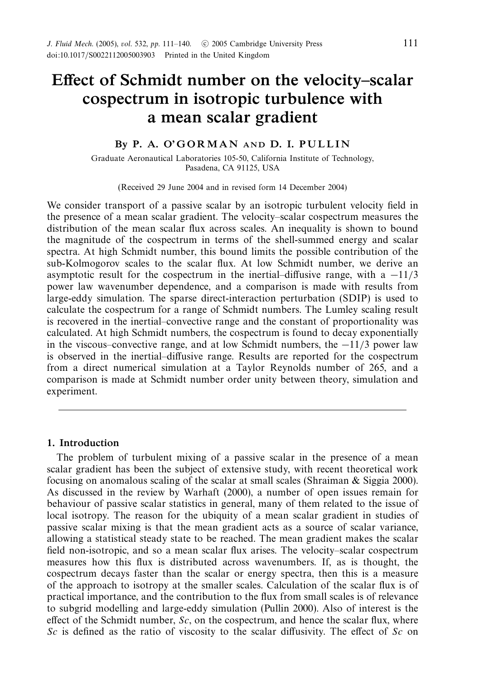# *Effect of Schmidt number on the velocity–scalar cospectrum in isotropic turbulence with a mean scalar gradient*

## *By P. A. O' G O RM A N AND D. I. P U L L I N*

Graduate Aeronautical Laboratories 105-50, California Institute of Technology, Pasadena, CA 91125, USA

(Received 29 June 2004 and in revised form 14 December 2004)

We consider transport of a passive scalar by an isotropic turbulent velocity field in the presence of a mean scalar gradient. The velocity–scalar cospectrum measures the distribution of the mean scalar flux across scales. An inequality is shown to bound the magnitude of the cospectrum in terms of the shell-summed energy and scalar spectra. At high Schmidt number, this bound limits the possible contribution of the sub-Kolmogorov scales to the scalar flux. At low Schmidt number, we derive an asymptotic result for the cospectrum in the inertial–diffusive range, with a −11*/*3 power law wavenumber dependence, and a comparison is made with results from large-eddy simulation. The sparse direct-interaction perturbation (SDIP) is used to calculate the cospectrum for a range of Schmidt numbers. The Lumley scaling result is recovered in the inertial–convective range and the constant of proportionality was calculated. At high Schmidt numbers, the cospectrum is found to decay exponentially in the viscous–convective range, and at low Schmidt numbers, the −11*/*3 power law is observed in the inertial–diffusive range. Results are reported for the cospectrum from a direct numerical simulation at a Taylor Reynolds number of 265, and a comparison is made at Schmidt number order unity between theory, simulation and experiment.

#### *1. Introduction*

The problem of turbulent mixing of a passive scalar in the presence of a mean scalar gradient has been the subject of extensive study, with recent theoretical work focusing on anomalous scaling of the scalar at small scales (Shraiman & Siggia 2000). As discussed in the review by Warhaft (2000), a number of open issues remain for behaviour of passive scalar statistics in general, many of them related to the issue of local isotropy. The reason for the ubiquity of a mean scalar gradient in studies of passive scalar mixing is that the mean gradient acts as a source of scalar variance, allowing a statistical steady state to be reached. The mean gradient makes the scalar field non-isotropic, and so a mean scalar flux arises. The velocity–scalar cospectrum measures how this flux is distributed across wavenumbers. If, as is thought, the cospectrum decays faster than the scalar or energy spectra, then this is a measure of the approach to isotropy at the smaller scales. Calculation of the scalar flux is of practical importance, and the contribution to the flux from small scales is of relevance to subgrid modelling and large-eddy simulation (Pullin 2000). Also of interest is the effect of the Schmidt number, *Sc*, on the cospectrum, and hence the scalar flux, where *Sc* is defined as the ratio of viscosity to the scalar diffusivity. The effect of *Sc* on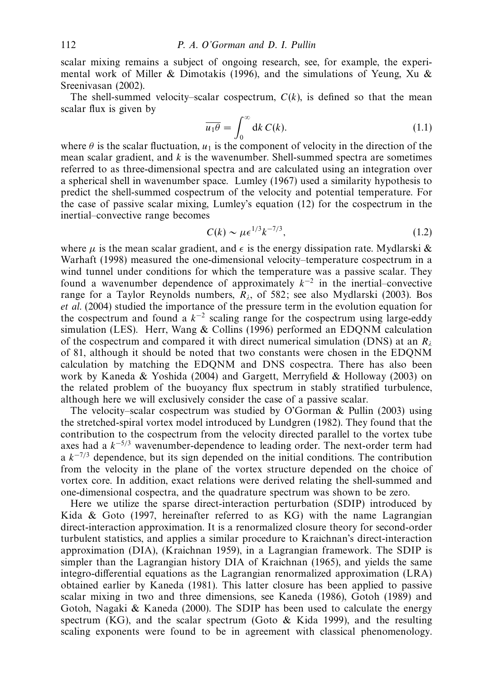scalar mixing remains a subject of ongoing research, see, for example, the experimental work of Miller & Dimotakis (1996), and the simulations of Yeung, Xu & Sreenivasan (2002).

The shell-summed velocity–scalar cospectrum,  $C(k)$ , is defined so that the mean scalar flux is given by

$$
\overline{u_1 \theta} = \int_0^\infty \mathrm{d}k \, C(k). \tag{1.1}
$$

where  $\theta$  is the scalar fluctuation,  $u_1$  is the component of velocity in the direction of the mean scalar gradient, and  $k$  is the wavenumber. Shell-summed spectra are sometimes referred to as three-dimensional spectra and are calculated using an integration over a spherical shell in wavenumber space. Lumley (1967) used a similarity hypothesis to predict the shell-summed cospectrum of the velocity and potential temperature. For the case of passive scalar mixing, Lumley's equation (12) for the cospectrum in the inertial–convective range becomes

$$
C(k) \sim \mu \epsilon^{1/3} k^{-7/3},\tag{1.2}
$$

where  $\mu$  is the mean scalar gradient, and  $\epsilon$  is the energy dissipation rate. Mydlarski & Warhaft (1998) measured the one-dimensional velocity–temperature cospectrum in a wind tunnel under conditions for which the temperature was a passive scalar. They found a wavenumber dependence of approximately *k*−<sup>2</sup> in the inertial–convective range for a Taylor Reynolds numbers,  $R_\lambda$ , of 582; see also Mydlarski (2003). Bos et al. (2004) studied the importance of the pressure term in the evolution equation for the cospectrum and found a  $k^{-2}$  scaling range for the cospectrum using large-eddy simulation (LES). Herr, Wang & Collins (1996) performed an EDQNM calculation of the cospectrum and compared it with direct numerical simulation (DNS) at an *R<sup>λ</sup>* of 81, although it should be noted that two constants were chosen in the EDQNM calculation by matching the EDQNM and DNS cospectra. There has also been work by Kaneda & Yoshida (2004) and Gargett, Merryfield & Holloway (2003) on the related problem of the buoyancy flux spectrum in stably stratified turbulence, although here we will exclusively consider the case of a passive scalar.

The velocity–scalar cospectrum was studied by O'Gorman & Pullin (2003) using the stretched-spiral vortex model introduced by Lundgren (1982). They found that the contribution to the cospectrum from the velocity directed parallel to the vortex tube axes had a *k*−5*/*<sup>3</sup> wavenumber-dependence to leading order. The next-order term had a  $k^{-7/3}$  dependence, but its sign depended on the initial conditions. The contribution from the velocity in the plane of the vortex structure depended on the choice of vortex core. In addition, exact relations were derived relating the shell-summed and one-dimensional cospectra, and the quadrature spectrum was shown to be zero.

Here we utilize the sparse direct-interaction perturbation (SDIP) introduced by Kida  $\&$  Goto (1997, hereinafter referred to as KG) with the name Lagrangian direct-interaction approximation. It is a renormalized closure theory for second-order turbulent statistics, and applies a similar procedure to Kraichnan's direct-interaction approximation (DIA), (Kraichnan 1959), in a Lagrangian framework. The SDIP is simpler than the Lagrangian history DIA of Kraichnan (1965), and yields the same integro-differential equations as the Lagrangian renormalized approximation (LRA) obtained earlier by Kaneda (1981). This latter closure has been applied to passive scalar mixing in two and three dimensions, see Kaneda (1986), Gotoh (1989) and Gotoh, Nagaki  $\&$  Kaneda (2000). The SDIP has been used to calculate the energy spectrum (KG), and the scalar spectrum (Goto  $\&$  Kida 1999), and the resulting scaling exponents were found to be in agreement with classical phenomenology.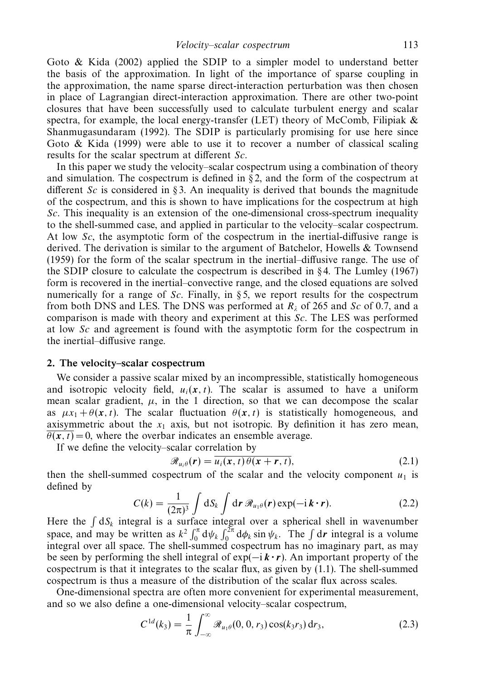Goto & Kida (2002) applied the SDIP to a simpler model to understand better the basis of the approximation. In light of the importance of sparse coupling in the approximation, the name sparse direct-interaction perturbation was then chosen in place of Lagrangian direct-interaction approximation. There are other two-point closures that have been successfully used to calculate turbulent energy and scalar spectra, for example, the local energy-transfer (LET) theory of McComb, Filipiak  $\&$ Shanmugasundaram (1992). The SDIP is particularly promising for use here since Goto & Kida (1999) were able to use it to recover a number of classical scaling results for the scalar spectrum at different *Sc*.

In this paper we study the velocity–scalar cospectrum using a combination of theory and simulation. The cospectrum is defined in  $\S$ 2, and the form of the cospectrum at different *Sc* is considered in § 3. An inequality is derived that bounds the magnitude of the cospectrum, and this is shown to have implications for the cospectrum at high *Sc*. This inequality is an extension of the one-dimensional cross-spectrum inequality to the shell-summed case, and applied in particular to the velocity–scalar cospectrum. At low *Sc*, the asymptotic form of the cospectrum in the inertial-diffusive range is derived. The derivation is similar to the argument of Batchelor, Howells & Townsend (1959) for the form of the scalar spectrum in the inertial–diffusive range. The use of the SDIP closure to calculate the cospectrum is described in  $\S 4$ . The Lumley (1967) form is recovered in the inertial–convective range, and the closed equations are solved numerically for a range of *Sc*. Finally, in  $\S$ 5, we report results for the cospectrum from both DNS and LES. The DNS was performed at  $R_\lambda$  of 265 and *Sc* of 0.7, and a comparison is made with theory and experiment at this *Sc*. The LES was performed at low *Sc* and agreement is found with the asymptotic form for the cospectrum in the inertial–diffusive range.

#### *2. The velocity–scalar cospectrum*

We consider a passive scalar mixed by an incompressible, statistically homogeneous and isotropic velocity field,  $u_i(x, t)$ . The scalar is assumed to have a uniform mean scalar gradient,  $\mu$ , in the 1 direction, so that we can decompose the scalar as  $\mu x_1 + \theta(x, t)$ . The scalar fluctuation  $\theta(x, t)$  is statistically homogeneous, and axisymmetric about the  $x_1$  axis, but not isotropic. By definition it has zero mean,  $\overline{\theta(x,t)} = 0$ , where the overbar indicates an ensemble average.

If we define the velocity–scalar correlation by

$$
\mathscr{R}_{u_i\theta}(\boldsymbol{r}) = \overline{u_i(\boldsymbol{x},t)\,\theta(\boldsymbol{x}+\boldsymbol{r},t)},\tag{2.1}
$$

then the shell-summed cospectrum of the scalar and the velocity component  $u_1$  is defined by

$$
C(k) = \frac{1}{(2\pi)^3} \int dS_k \int dr \, \mathcal{R}_{u_1\theta}(\mathbf{r}) \exp(-i\,\mathbf{k}\cdot\mathbf{r}).
$$
 (2.2)

Here the  $\int dS_k$  integral is a surface integral over a spherical shell in wavenumber space, and may be written as  $k^2 \int_0^{\pi} d\psi_k \int_0^{2\pi} d\phi_k \sin \psi_k$ . The  $\int dr$  integral is a volume integral over all space. The shell-summed cospectrum has no imaginary part, as may be seen by performing the shell integral of exp(−i *k* **·** *r*). An important property of the cospectrum is that it integrates to the scalar flux, as given by (1.1). The shell-summed cospectrum is thus a measure of the distribution of the scalar flux across scales.

One-dimensional spectra are often more convenient for experimental measurement, and so we also define a one-dimensional velocity–scalar cospectrum,

$$
C^{1d}(k_3) = \frac{1}{\pi} \int_{-\infty}^{\infty} \mathcal{R}_{u_1\theta}(0, 0, r_3) \cos(k_3 r_3) dr_3,
$$
 (2.3)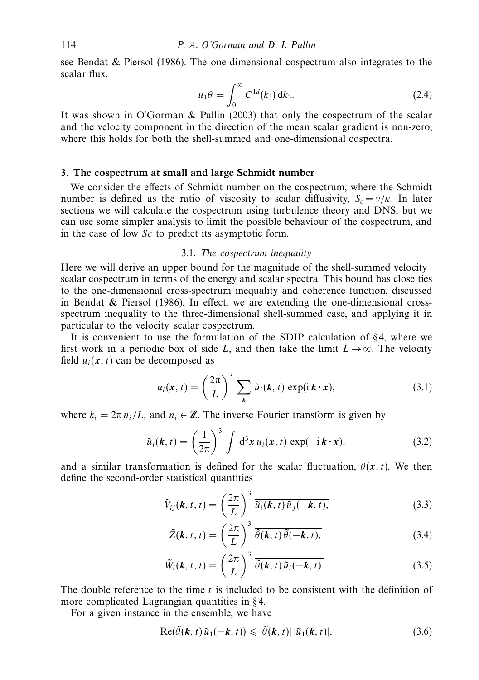see Bendat & Piersol (1986). The one-dimensional cospectrum also integrates to the scalar flux,

$$
\overline{u_1\theta} = \int_0^\infty C^{1d}(k_3) \, \mathrm{d}k_3. \tag{2.4}
$$

It was shown in O'Gorman & Pullin (2003) that only the cospectrum of the scalar and the velocity component in the direction of the mean scalar gradient is non-zero, where this holds for both the shell-summed and one-dimensional cospectra.

## *3. The cospectrum at small and large Schmidt number*

We consider the effects of Schmidt number on the cospectrum, where the Schmidt number is defined as the ratio of viscosity to scalar diffusivity,  $S_c = v/\kappa$ . In later sections we will calculate the cospectrum using turbulence theory and DNS, but we can use some simpler analysis to limit the possible behaviour of the cospectrum, and in the case of low *Sc* to predict its asymptotic form.

#### 3.1. The cospectrum inequality

Here we will derive an upper bound for the magnitude of the shell-summed velocity– scalar cospectrum in terms of the energy and scalar spectra. This bound has close ties to the one-dimensional cross-spectrum inequality and coherence function, discussed in Bendat  $\&$  Piersol (1986). In effect, we are extending the one-dimensional crossspectrum inequality to the three-dimensional shell-summed case, and applying it in particular to the velocity–scalar cospectrum.

It is convenient to use the formulation of the SDIP calculation of § 4, where we first work in a periodic box of side *L*, and then take the limit  $L \rightarrow \infty$ . The velocity field  $u_i(x, t)$  can be decomposed as

$$
u_i(\mathbf{x},t) = \left(\frac{2\pi}{L}\right)^3 \sum_{\mathbf{k}} \tilde{u}_i(\mathbf{k},t) \exp(i\,\mathbf{k}\cdot\mathbf{x}), \tag{3.1}
$$

where  $k_i = 2\pi n_i/L$ , and  $n_i \in \mathbb{Z}$ . The inverse Fourier transform is given by

$$
\tilde{u}_i(\mathbf{k},t) = \left(\frac{1}{2\pi}\right)^3 \int d^3x \, u_i(\mathbf{x},t) \, \exp(-i\,\mathbf{k}\cdot\mathbf{x}),\tag{3.2}
$$

and a similar transformation is defined for the scalar fluctuation,  $\theta(x, t)$ . We then define the second-order statistical quantities

$$
\tilde{V}_{ij}(\boldsymbol{k},t,t) = \left(\frac{2\pi}{L}\right)^3 \overline{\tilde{u}_i(\boldsymbol{k},t)\tilde{u}_j(-\boldsymbol{k},t)},
$$
\n(3.3)

$$
\tilde{Z}(\mathbf{k}, t, t) = \left(\frac{2\pi}{L}\right)^3 \overline{\tilde{\theta}(\mathbf{k}, t) \tilde{\theta}(-\mathbf{k}, t)},
$$
\n(3.4)

$$
\tilde{W}_i(\boldsymbol{k}, t, t) = \left(\frac{2\pi}{L}\right)^3 \overline{\tilde{\theta}(\boldsymbol{k}, t) \tilde{u}_i(-\boldsymbol{k}, t)}.
$$
\n(3.5)

The double reference to the time *t* is included to be consistent with the definition of more complicated Lagrangian quantities in § 4.

For a given instance in the ensemble, we have

$$
\operatorname{Re}(\tilde{\theta}(\boldsymbol{k},t)\tilde{u}_1(-\boldsymbol{k},t)) \leq |\tilde{\theta}(\boldsymbol{k},t)| |\tilde{u}_1(\boldsymbol{k},t)|,
$$
\n(3.6)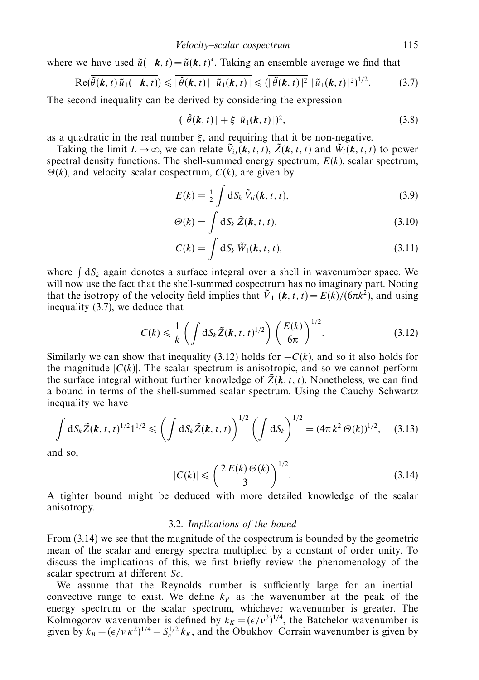where we have used  $\tilde{u}(-\mathbf{k}, t) = \tilde{u}(\mathbf{k}, t)^*$ . Taking an ensemble average we find that

$$
\operatorname{Re}(\overline{\tilde{\theta}(k,t)\tilde{u}_1(-k,t)}) \leqslant |\tilde{\theta}(k,t)| |\tilde{u}_1(k,t)| \leqslant (|\tilde{\theta}(k,t)|^2 |\tilde{u}_1(k,t)|^2)^{1/2}.
$$
 (3.7)

The second inequality can be derived by considering the expression

$$
\overline{(|\tilde{\theta}(\boldsymbol{k},t)|+\xi|\tilde{u}_1(\boldsymbol{k},t)|)^2},\tag{3.8}
$$

as a quadratic in the real number  $\xi$ , and requiring that it be non-negative.

Taking the limit  $L \to \infty$ , we can relate  $\tilde{V}_{ij}(\mathbf{k}, t, t)$ ,  $\tilde{Z}(\mathbf{k}, t, t)$  and  $\tilde{W}_i(\mathbf{k}, t, t)$  to power spectral density functions. The shell-summed energy spectrum, *E*(*k*), scalar spectrum, *Θ*(*k*), and velocity–scalar cospectrum, *C*(*k*), are given by

$$
E(k) = \frac{1}{2} \int \mathrm{d}S_k \, \tilde{V}_{ii}(\mathbf{k}, t, t), \tag{3.9}
$$

$$
\Theta(k) = \int \mathrm{d}S_k \, \tilde{Z}(\mathbf{k}, t, t), \tag{3.10}
$$

$$
C(k) = \int \mathrm{d}S_k \, \tilde{W}_1(k, t, t), \tag{3.11}
$$

where  $\int dS_k$  again denotes a surface integral over a shell in wavenumber space. We will now use the fact that the shell-summed cospectrum has no imaginary part. Noting that the isotropy of the velocity field implies that  $\tilde{V}_{11}(k, t, t) = E(k)/(6\pi k^2)$ , and using inequality (3.7), we deduce that

$$
C(k) \leqslant \frac{1}{k} \left( \int \mathrm{d}S_k \tilde{Z}(k, t, t)^{1/2} \right) \left( \frac{E(k)}{6\pi} \right)^{1/2}.
$$
 (3.12)

Similarly we can show that inequality (3.12) holds for  $-C(k)$ , and so it also holds for the magnitude  $|C(k)|$ . The scalar spectrum is anisotropic, and so we cannot perform the surface integral without further knowledge of  $\tilde{Z}(\mathbf{k}, t, t)$ . Nonetheless, we can find a bound in terms of the shell-summed scalar spectrum. Using the Cauchy–Schwartz inequality we have

$$
\int dS_k \tilde{Z}(k, t, t)^{1/2} 1^{1/2} \leqslant \left( \int dS_k \tilde{Z}(k, t, t) \right)^{1/2} \left( \int dS_k \right)^{1/2} = (4\pi k^2 \Theta(k))^{1/2}, \quad (3.13)
$$

and so,

$$
|C(k)| \leqslant \left(\frac{2\,E(k)\,\Theta(k)}{3}\right)^{1/2}.\tag{3.14}
$$

A tighter bound might be deduced with more detailed knowledge of the scalar anisotropy.

#### 3.2. Implications of the bound

From (3.14) we see that the magnitude of the cospectrum is bounded by the geometric mean of the scalar and energy spectra multiplied by a constant of order unity. To discuss the implications of this, we first briefly review the phenomenology of the scalar spectrum at different *Sc*.

We assume that the Reynolds number is sufficiently large for an inertial– convective range to exist. We define  $k<sub>P</sub>$  as the wavenumber at the peak of the energy spectrum or the scalar spectrum, whichever wavenumber is greater. The Kolmogorov wavenumber is defined by  $k_K = (\epsilon/\nu^3)^{1/4}$ , the Batchelor wavenumber is given by  $k_B = (\epsilon/\nu \kappa^2)^{1/4} = S_c^{1/2} k_K$ , and the Obukhov–Corrsin wavenumber is given by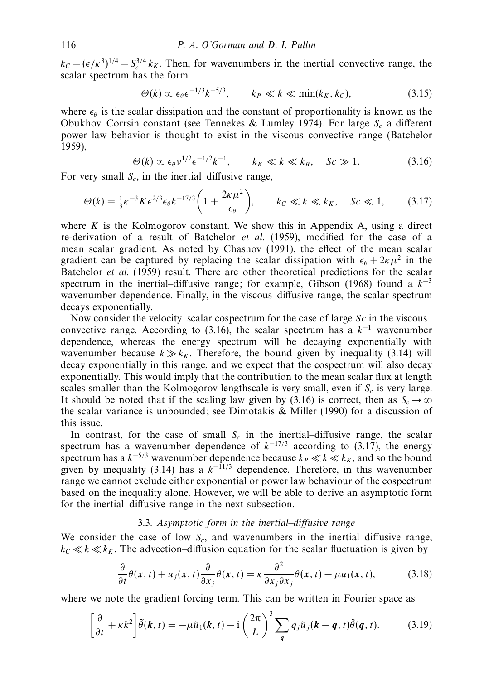$k_C = (\epsilon / \kappa^3)^{1/4} = S_c^{3/4} k_K$ . Then, for wavenumbers in the inertial–convective range, the scalar spectrum has the form

$$
\Theta(k) \propto \epsilon_{\theta} \epsilon^{-1/3} k^{-5/3}, \qquad k_P \ll k \ll \min(k_K, k_C), \tag{3.15}
$$

where  $\epsilon_{\theta}$  is the scalar dissipation and the constant of proportionality is known as the Obukhov–Corrsin constant (see Tennekes & Lumley 1974). For large *Sc* a different power law behavior is thought to exist in the viscous–convective range (Batchelor 1959),

$$
\Theta(k) \propto \epsilon_{\theta} \nu^{1/2} \epsilon^{-1/2} k^{-1}, \qquad k_K \ll k \ll k_B, \quad Sc \gg 1. \tag{3.16}
$$

For very small  $S_c$ , in the inertial–diffusive range,

$$
\Theta(k) = \frac{1}{3}\kappa^{-3}K\epsilon^{2/3}\epsilon_{\theta}k^{-17/3}\bigg(1+\frac{2\kappa\mu^2}{\epsilon_{\theta}}\bigg), \qquad k_C \ll k \ll k_K, \quad Sc \ll 1, \tag{3.17}
$$

where  $K$  is the Kolmogorov constant. We show this in Appendix A, using a direct re-derivation of a result of Batchelor *et al.* (1959), modified for the case of a mean scalar gradient. As noted by Chasnov (1991), the effect of the mean scalar gradient can be captured by replacing the scalar dissipation with  $\epsilon_{\theta} + 2\kappa \mu^2$  in the Batchelor et al. (1959) result. There are other theoretical predictions for the scalar spectrum in the inertial–diffusive range; for example, Gibson (1968) found a *k*−<sup>3</sup> wavenumber dependence. Finally, in the viscous–diffusive range, the scalar spectrum decays exponentially.

Now consider the velocity–scalar cospectrum for the case of large *Sc* in the viscous– convective range. According to (3.16), the scalar spectrum has a  $k^{-1}$  wavenumber dependence, whereas the energy spectrum will be decaying exponentially with wavenumber because  $k \gg k_K$ . Therefore, the bound given by inequality (3.14) will decay exponentially in this range, and we expect that the cospectrum will also decay exponentially. This would imply that the contribution to the mean scalar flux at length scales smaller than the Kolmogorov lengthscale is very small, even if  $S_c$  is very large. It should be noted that if the scaling law given by (3.16) is correct, then as  $S_c \rightarrow \infty$ the scalar variance is unbounded; see Dimotakis  $&$  Miller (1990) for a discussion of this issue.

In contrast, for the case of small  $S_c$  in the inertial-diffusive range, the scalar spectrum has a wavenumber dependence of  $k^{-17/3}$  according to (3.17), the energy spectrum has a  $k^{-5/3}$  wavenumber dependence because  $k_P \ll k \ll k_K$ , and so the bound given by inequality (3.14) has a  $k^{-1/3}$  dependence. Therefore, in this wavenumber range we cannot exclude either exponential or power law behaviour of the cospectrum based on the inequality alone. However, we will be able to derive an asymptotic form for the inertial–diffusive range in the next subsection.

## 3.3. Asymptotic form in the inertial–diffusive range

We consider the case of low *S<sub>c</sub>*, and wavenumbers in the inertial–diffusive range,  $k_C \ll k \ll k_K$ . The advection–diffusion equation for the scalar fluctuation is given by

$$
\frac{\partial}{\partial t}\theta(x,t) + u_j(x,t)\frac{\partial}{\partial x_j}\theta(x,t) = \kappa \frac{\partial^2}{\partial x_j \partial x_j}\theta(x,t) - \mu u_1(x,t),\tag{3.18}
$$

where we note the gradient forcing term. This can be written in Fourier space as

$$
\left[\frac{\partial}{\partial t} + \kappa k^2\right] \tilde{\theta}(\boldsymbol{k}, t) = -\mu \tilde{u}_1(\boldsymbol{k}, t) - i \left(\frac{2\pi}{L}\right)^3 \sum_{\boldsymbol{q}} q_j \tilde{u}_j(\boldsymbol{k} - \boldsymbol{q}, t) \tilde{\theta}(\boldsymbol{q}, t). \tag{3.19}
$$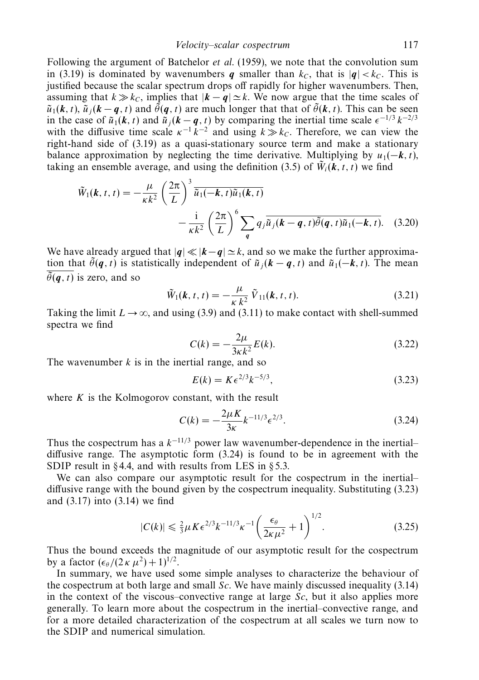Following the argument of Batchelor *et al.* (1959), we note that the convolution sum in (3.19) is dominated by wavenumbers *q* smaller than  $k_c$ , that is  $|q| < k_c$ . This is justified because the scalar spectrum drops off rapidly for higher wavenumbers. Then, assuming that  $k \gg k_c$ , implies that  $|k - q| \simeq k$ . We now argue that the time scales of  $\tilde{u}_1(k, t)$ ,  $\tilde{u}_j(k-q, t)$  and  $\tilde{\theta}(q, t)$  are much longer that that of  $\tilde{\theta}(k, t)$ . This can be seen in the case of  $\tilde{u}_1(\mathbf{k}, t)$  and  $\tilde{u}_j(\mathbf{k} - \mathbf{q}, t)$  by comparing the inertial time scale  $\epsilon^{-1/3} k^{-2/3}$ with the diffusive time scale  $\kappa^{-1} k^{-2}$  and using  $k \gg k_c$ . Therefore, we can view the right-hand side of (3.19) as a quasi-stationary source term and make a stationary balance approximation by neglecting the time derivative. Multiplying by  $u_1(-k, t)$ , taking an ensemble average, and using the definition (3.5) of  $\tilde{W}_i(\mathbf{k},t,t)$  we find

$$
\tilde{W}_1(\mathbf{k}, t, t) = -\frac{\mu}{\kappa k^2} \left(\frac{2\pi}{L}\right)^3 \frac{\tilde{u}_1(-\mathbf{k}, t)\tilde{u}_1(\mathbf{k}, t)}{\tilde{u}_1(-\mathbf{k}, t)\tilde{u}_1(\mathbf{k}, t)} - \frac{\mathrm{i}}{\kappa k^2} \left(\frac{2\pi}{L}\right)^6 \sum_{q} q_j \frac{\tilde{u}_j(\mathbf{k} - \mathbf{q}, t)\tilde{\theta}(q, t)\tilde{u}_1(-\mathbf{k}, t)}{q}.
$$
 (3.20)

We have already argued that  $|q| \ll |k-q| \simeq k$ , and so we make the further approximation that  $\tilde{\theta}(q, t)$  is statistically independent of  $\tilde{u}_j$  ( $k - q$ *, t*) and  $\tilde{u}_1(-k, t)$ . The mean  $\overline{\tilde{\theta}(q,t)}$  is zero, and so

$$
\tilde{W}_1(\mathbf{k}, t, t) = -\frac{\mu}{\kappa k^2} \, \tilde{V}_{11}(\mathbf{k}, t, t). \tag{3.21}
$$

Taking the limit  $L \rightarrow \infty$ , and using (3.9) and (3.11) to make contact with shell-summed spectra we find

$$
C(k) = -\frac{2\mu}{3\kappa k^2} E(k).
$$
 (3.22)

The wavenumber *k* is in the inertial range, and so

$$
E(k) = K \epsilon^{2/3} k^{-5/3},
$$
\n(3.23)

where  $K$  is the Kolmogorov constant, with the result

$$
C(k) = -\frac{2\mu K}{3\kappa} k^{-11/3} \epsilon^{2/3}.
$$
 (3.24)

Thus the cospectrum has a  $k^{-1/3}$  power law wavenumber-dependence in the inertial– diffusive range. The asymptotic form (3.24) is found to be in agreement with the SDIP result in §4.4, and with results from LES in §5.3.

We can also compare our asymptotic result for the cospectrum in the inertial– diffusive range with the bound given by the cospectrum inequality. Substituting (3.23) and (3.17) into (3.14) we find

$$
|C(k)| \leq \frac{2}{3}\mu K \epsilon^{2/3} k^{-11/3} \kappa^{-1} \left(\frac{\epsilon_{\theta}}{2\kappa \mu^2} + 1\right)^{1/2}.
$$
 (3.25)

Thus the bound exceeds the magnitude of our asymptotic result for the cospectrum by a factor  $(\epsilon_{\theta}/(2 \kappa \mu^2) + 1)^{1/2}$ .

In summary, we have used some simple analyses to characterize the behaviour of the cospectrum at both large and small *Sc*. We have mainly discussed inequality (3.14) in the context of the viscous–convective range at large  $Sc$ , but it also applies more generally. To learn more about the cospectrum in the inertial–convective range, and for a more detailed characterization of the cospectrum at all scales we turn now to the SDIP and numerical simulation.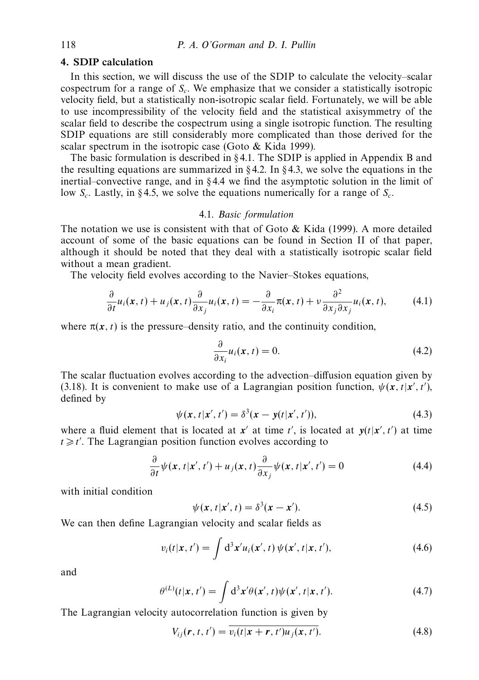## *4. SDIP calculation*

In this section, we will discuss the use of the SDIP to calculate the velocity–scalar cospectrum for a range of *S<sub>c</sub>*. We emphasize that we consider a statistically isotropic velocity field, but a statistically non-isotropic scalar field. Fortunately, we will be able to use incompressibility of the velocity field and the statistical axisymmetry of the scalar field to describe the cospectrum using a single isotropic function. The resulting SDIP equations are still considerably more complicated than those derived for the scalar spectrum in the isotropic case (Goto & Kida 1999).

The basic formulation is described in § 4.1. The SDIP is applied in Appendix B and the resulting equations are summarized in §4.2. In §4.3, we solve the equations in the inertial–convective range, and in § 4.4 we find the asymptotic solution in the limit of low *S<sub>c</sub>*. Lastly, in § 4.5, we solve the equations numerically for a range of  $S_c$ .

## 4.1. Basic formulation

The notation we use is consistent with that of Goto  $\&$  Kida (1999). A more detailed account of some of the basic equations can be found in Section II of that paper, although it should be noted that they deal with a statistically isotropic scalar field without a mean gradient.

The velocity field evolves according to the Navier–Stokes equations,

$$
\frac{\partial}{\partial t}u_i(\mathbf{x},t) + u_j(\mathbf{x},t)\frac{\partial}{\partial x_j}u_i(\mathbf{x},t) = -\frac{\partial}{\partial x_i}\pi(\mathbf{x},t) + v\frac{\partial^2}{\partial x_j \partial x_j}u_i(\mathbf{x},t),\tag{4.1}
$$

where  $\pi(x, t)$  is the pressure–density ratio, and the continuity condition,

$$
\frac{\partial}{\partial x_i} u_i(x, t) = 0.
$$
\n(4.2)

The scalar fluctuation evolves according to the advection–diffusion equation given by (3.18). It is convenient to make use of a Lagrangian position function,  $\psi(\mathbf{x}, t | \mathbf{x}', t')$ , defined by

$$
\psi(x, t|x', t') = \delta^{3}(x - y(t|x', t')), \qquad (4.3)
$$

where a fluid element that is located at  $x'$  at time  $t'$ , is located at  $y(t|x', t')$  at time  $t \geq t'$ . The Lagrangian position function evolves according to

$$
\frac{\partial}{\partial t}\psi(x,t|x',t') + u_j(x,t)\frac{\partial}{\partial x_j}\psi(x,t|x',t') = 0
$$
\n(4.4)

with initial condition

$$
\psi(x, t|x', t) = \delta^3(x - x'). \tag{4.5}
$$

We can then define Lagrangian velocity and scalar fields as

$$
v_i(t|\mathbf{x},t') = \int d^3\mathbf{x}' u_i(\mathbf{x}',t) \psi(\mathbf{x}',t|\mathbf{x},t'),
$$
\n(4.6)

and

$$
\theta^{(L)}(t|\mathbf{x},t') = \int d^3\mathbf{x}' \theta(\mathbf{x}',t) \psi(\mathbf{x}',t|\mathbf{x},t'). \tag{4.7}
$$

The Lagrangian velocity autocorrelation function is given by

$$
V_{ij}(\boldsymbol{r},t,t') = \overline{v_i(t|\boldsymbol{x}+\boldsymbol{r},t')\mu_j(\boldsymbol{x},t')}.
$$
\n(4.8)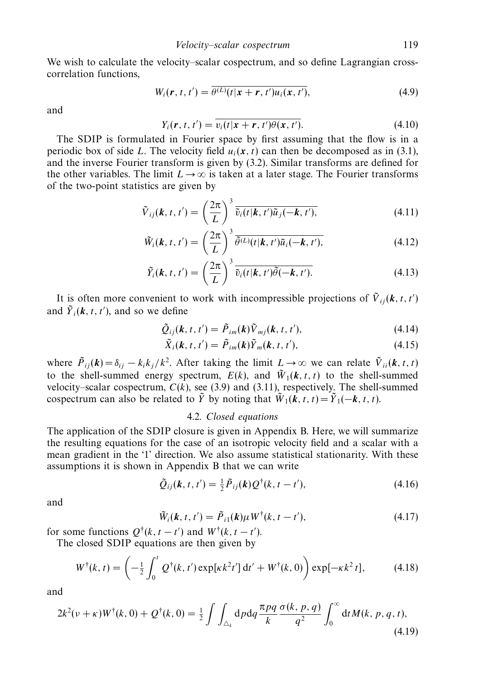We wish to calculate the velocity–scalar cospectrum, and so define Lagrangian crosscorrelation functions,

$$
W_i(\mathbf{r}, t, t') = \overline{\theta^{(L)}(t|\mathbf{x} + \mathbf{r}, t')u_i(\mathbf{x}, t')},\tag{4.9}
$$

and

$$
Y_i(\mathbf{r},t,t') = \overline{v_i(t|\mathbf{x}+\mathbf{r},t')\theta(\mathbf{x},t')}.
$$
\n(4.10)

The SDIP is formulated in Fourier space by first assuming that the flow is in a periodic box of side *L*. The velocity field  $u_i(x, t)$  can then be decomposed as in (3.1), and the inverse Fourier transform is given by (3.2). Similar transforms are defined for the other variables. The limit  $L \rightarrow \infty$  is taken at a later stage. The Fourier transforms of the two-point statistics are given by

$$
\tilde{V}_{ij}(\mathbf{k}, t, t') = \left(\frac{2\pi}{L}\right)^3 \overline{\tilde{v}_i(t|\mathbf{k}, t')\tilde{u}_j(-\mathbf{k}, t')},\tag{4.11}
$$

$$
\tilde{W}_i(\mathbf{k}, t, t') = \left(\frac{2\pi}{L}\right)^3 \overline{\tilde{\theta}^{(L)}(t|\mathbf{k}, t')\tilde{u}_i(-\mathbf{k}, t')},\tag{4.12}
$$

$$
\tilde{Y}_i(\mathbf{k}, t, t') = \left(\frac{2\pi}{L}\right)^3 \overline{\tilde{v}_i(t|\mathbf{k}, t')\tilde{\theta}(-\mathbf{k}, t')}.
$$
\n(4.13)

It is often more convenient to work with incompressible projections of  $\tilde{V}_{ij}(\mathbf{k}, t, t')$ and  $\tilde{Y}_i(\mathbf{k}, t, t')$ , and so we define

$$
\tilde{Q}_{ij}(\mathbf{k}, t, t') = \tilde{P}_{im}(\mathbf{k}) \tilde{V}_{mj}(\mathbf{k}, t, t'),
$$
\n(4.14)

$$
\tilde{X}_i(\mathbf{k}, t, t') = \tilde{P}_{im}(\mathbf{k}) \tilde{Y}_m(\mathbf{k}, t, t'),
$$
\n(4.15)

where  $\tilde{P}_{ii}(\mathbf{k}) = \delta_{ii} - k_i k_i / k^2$ . After taking the limit  $L \to \infty$  we can relate  $\tilde{V}_{ii}(\mathbf{k}, t, t)$ to the shell-summed energy spectrum,  $E(k)$ , and  $\tilde{W}_1(k, t, t)$  to the shell-summed velocity–scalar cospectrum,  $C(k)$ , see (3.9) and (3.11), respectively. The shell-summed cospectrum can also be related to  $\tilde{Y}$  by noting that  $\tilde{W}_1(\vec{k},t,t) = \tilde{Y}_1(-\vec{k},t,t)$ .

## 4.2. Closed equations

The application of the SDIP closure is given in Appendix B. Here, we will summarize the resulting equations for the case of an isotropic velocity field and a scalar with a mean gradient in the '1' direction. We also assume statistical stationarity. With these assumptions it is shown in Appendix B that we can write

$$
\tilde{Q}_{ij}(\mathbf{k}, t, t') = \frac{1}{2} \tilde{P}_{ij}(\mathbf{k}) Q^{\dagger}(\mathbf{k}, t - t'), \qquad (4.16)
$$

and

$$
\widetilde{W}_i(\boldsymbol{k}, t, t') = \widetilde{P}_{i1}(\boldsymbol{k}) \mu W^{\dagger}(k, t - t'), \qquad (4.17)
$$

for some functions  $Q^{\dagger}(k, t - t')$  and  $W^{\dagger}(k, t - t')$ .

The closed SDIP equations are then given by

$$
W^{\dagger}(k,t) = \left(-\frac{1}{2} \int_0^t Q^{\dagger}(k,t') \exp[kk^2t'] dt' + W^{\dagger}(k,0)\right) \exp[-\kappa k^2 t], \tag{4.18}
$$

and

$$
2k^{2}(\nu+\kappa)W^{\dagger}(k,0)+Q^{\dagger}(k,0)=\frac{1}{2}\int\int_{\Delta_{k}}dpdq\frac{\pi pq}{k}\frac{\sigma(k,p,q)}{q^{2}}\int_{0}^{\infty}dt M(k,p,q,t),\tag{4.19}
$$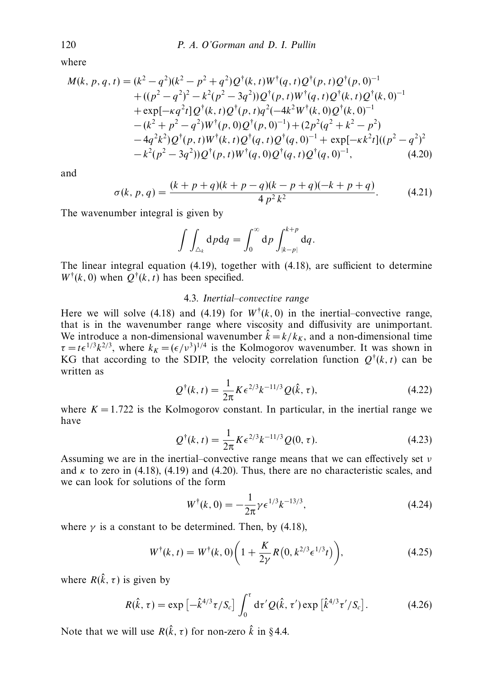where

$$
M(k, p, q, t) = (k2 - q2)(k2 - p2 + q2)Q†(k, t)W†(q, t)Q†(p, t)Q†(p, 0)-1+ ((p2 - q2)2 - k2(p2 - 3q2))Q†(p, t)W†(q, t)Q†(k, t)Q†(k, 0)-1+ exp[- $\kappa q$ <sup>2</sup> $t$ ]Q<sup>†</sup>(k, t)Q<sup>†</sup>(p, t)q<sup>2</sup>(-4k<sup>2</sup>W<sup>†</sup>(k, 0)Q<sup>†</sup>(k, 0)<sup>-1</sup>  
- (k<sup>2</sup> + p<sup>2</sup> - q<sup>2</sup>)W<sup>†</sup>(p, 0)Q<sup>†</sup>(p, 0)<sup>-1</sup> + (2p<sup>2</sup>(q<sup>2</sup> + k<sup>2</sup> - p<sup>2</sup>)  
- 4q<sup>2</sup>k<sup>2</sup>)Q<sup>†</sup>(p, t)W<sup>†</sup>(k, t)Q<sup>†</sup>(q, t)Q<sup>†</sup>(q, 0)<sup>-1</sup> + exp[- $\kappa k$ <sup>2</sup>t]
$$
((p<sup>2</sup> - q<sup>2</sup>)<sup>2</sup>  
- k<sup>2</sup>(p<sup>2</sup> - 3q<sup>2</sup>))Q<sup>†</sup>(p, t)W<sup>†</sup>(q, 0)Q<sup>†</sup>(q, t)Q<sup>†</sup>(q, 0)<sup>-1</sup>, (4.20)

and

$$
\sigma(k, p, q) = \frac{(k+p+q)(k+p-q)(k-p+q)(-k+p+q)}{4p^2k^2}.
$$
 (4.21)

The wavenumber integral is given by

$$
\int\int_{\Delta_k} dp dq = \int_0^\infty dp \int_{|k-p|}^{k+p} dq.
$$

The linear integral equation (4.19), together with (4.18), are sufficient to determine  $W^{\dagger}(k, 0)$  when  $Q^{\dagger}(k, t)$  has been specified.

#### 4.3. Inertial–convective range

Here we will solve (4.18) and (4.19) for  $W^{\dagger}(k,0)$  in the inertial–convective range, that is in the wavenumber range where viscosity and diffusivity are unimportant. We introduce a non-dimensional wavenumber  $\hat{k} = k/k_K$ , and a non-dimensional time  $\tau = t \epsilon^{1/3} k^{2/3}$ , where  $k_K = (\epsilon/\nu^3)^{1/4}$  is the Kolmogorov wavenumber. It was shown in KG that according to the SDIP, the velocity correlation function  $Q^{\dagger}(k, t)$  can be written as

$$
Q^{\dagger}(k,t) = \frac{1}{2\pi} K \epsilon^{2/3} k^{-11/3} Q(\hat{k}, \tau), \qquad (4.22)
$$

where  $K = 1.722$  is the Kolmogorov constant. In particular, in the inertial range we have

$$
Q^{\dagger}(k,t) = \frac{1}{2\pi} K \epsilon^{2/3} k^{-11/3} Q(0,\tau). \tag{4.23}
$$

Assuming we are in the inertial–convective range means that we can effectively set *ν* and  $\kappa$  to zero in (4.18), (4.19) and (4.20). Thus, there are no characteristic scales, and we can look for solutions of the form

$$
W^{\dagger}(k,0) = -\frac{1}{2\pi} \gamma \epsilon^{1/3} k^{-13/3},
$$
\n(4.24)

where  $\gamma$  is a constant to be determined. Then, by (4.18),

$$
W^{\dagger}(k,t) = W^{\dagger}(k,0) \bigg( 1 + \frac{K}{2\gamma} R\big(0, k^{2/3} \epsilon^{1/3} t\big) \bigg), \tag{4.25}
$$

where  $R(\hat{k}, \tau)$  is given by

$$
R(\hat{k}, \tau) = \exp \left[ -\hat{k}^{4/3} \tau / S_c \right] \int_0^{\tau} d\tau' Q(\hat{k}, \tau') \exp \left[ \hat{k}^{4/3} \tau' / S_c \right]. \tag{4.26}
$$

Note that we will use  $R(\hat{k}, \tau)$  for non-zero  $\hat{k}$  in §4.4.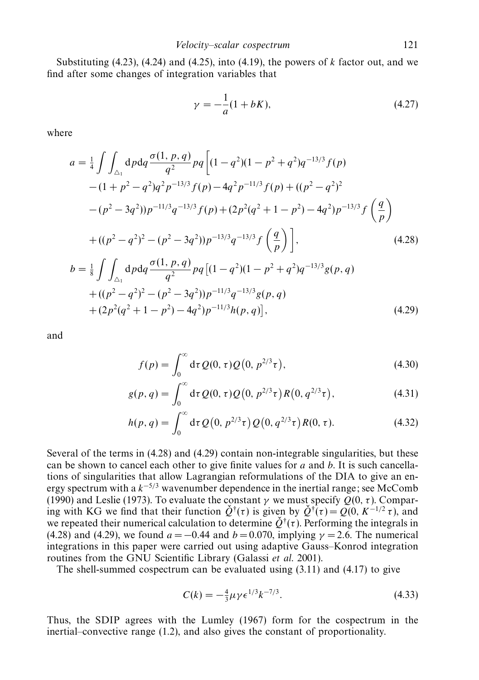Substituting (4.23), (4.24) and (4.25), into (4.19), the powers of *k* factor out, and we find after some changes of integration variables that

$$
\gamma = -\frac{1}{a}(1 + bK),\tag{4.27}
$$

where

$$
a = \frac{1}{4} \int \int_{\Delta_1} d\rho d\rho \frac{\sigma(1, p, q)}{q^2} p q \left[ (1 - q^2)(1 - p^2 + q^2)q^{-13/3} f(p) - (1 + p^2 - q^2)q^2 p^{-13/3} f(p) - 4q^2 p^{-11/3} f(p) + ((p^2 - q^2)^2 - (p^2 - 3q^2))p^{-11/3}q^{-13/3} f(p) + (2p^2(q^2 + 1 - p^2) - 4q^2)p^{-13/3} f\left(\frac{q}{p}\right) + ((p^2 - q^2)^2 - (p^2 - 3q^2))p^{-13/3}q^{-13/3} f\left(\frac{q}{p}\right) \right],
$$
\n
$$
b = \frac{1}{8} \int \int_{\Delta_1} d\rho dq \frac{\sigma(1, p, q)}{q^2} p q \left[ (1 - q^2)(1 - p^2 + q^2)q^{-13/3} g(p, q) + ((p^2 - q^2)^2 - (p^2 - 3q^2))p^{-11/3}q^{-13/3} g(p, q) \right]
$$
\n(4.28)

$$
+(2p^2(q^2+1-p^2)-4q^2)p^{-11/3}h(p,q)], \qquad (4.29)
$$

and

$$
f(p) = \int_0^\infty d\tau \, Q(0, \tau) Q(0, p^{2/3} \tau), \tag{4.30}
$$

$$
g(p,q) = \int_0^\infty d\tau \, Q(0,\tau) Q(0,p^{2/3}\tau) R(0,q^{2/3}\tau), \tag{4.31}
$$

$$
h(p,q) = \int_0^\infty d\tau \, Q\big(0, p^{2/3} \tau\big) Q\big(0, q^{2/3} \tau\big) R(0, \tau). \tag{4.32}
$$

Several of the terms in (4.28) and (4.29) contain non-integrable singularities, but these can be shown to cancel each other to give finite values for *a* and *b*. It is such cancellations of singularities that allow Lagrangian reformulations of the DIA to give an energy spectrum with a *k*−5*/*<sup>3</sup> wavenumber dependence in the inertial range; see McComb (1990) and Leslie (1973). To evaluate the constant *γ* we must specify *Q*(0*, τ* ). Comparing with KG we find that their function  $\check{Q}^{\dagger}(\tau)$  is given by  $\check{Q}^{\dagger}(\tau) = \widetilde{Q(0)}$ ,  $K^{-1/2} \tau$ ), and we repeated their numerical calculation to determine  $\check{O}^{\dagger}(\tau)$ . Performing the integrals in (4.28) and (4.29), we found  $a = -0.44$  and  $b = 0.070$ , implying  $\gamma = 2.6$ . The numerical integrations in this paper were carried out using adaptive Gauss–Konrod integration routines from the GNU Scientific Library (Galassi et al. 2001).

The shell-summed cospectrum can be evaluated using (3.11) and (4.17) to give

$$
C(k) = -\frac{4}{3}\mu\gamma\epsilon^{1/3}k^{-7/3}.
$$
 (4.33)

Thus, the SDIP agrees with the Lumley (1967) form for the cospectrum in the inertial–convective range (1.2), and also gives the constant of proportionality.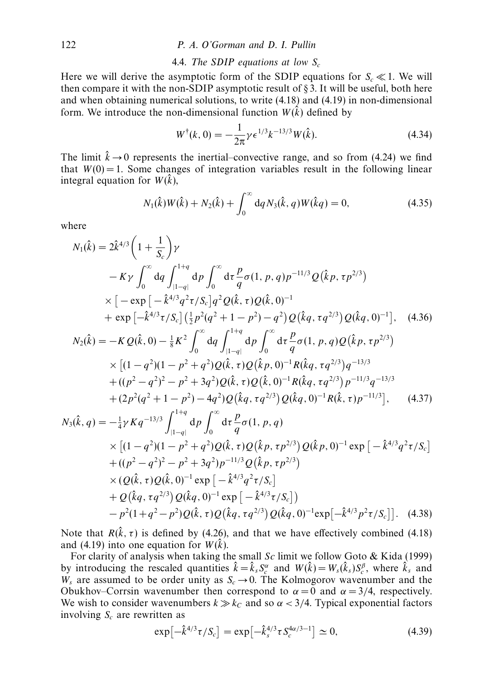#### 122 P. A. O'Gorman and D. I. Pullin

#### 4.4. The SDIP equations at low *Sc*

Here we will derive the asymptotic form of the SDIP equations for  $S_c \ll 1$ . We will then compare it with the non-SDIP asymptotic result of  $\S 3$ . It will be useful, both here and when obtaining numerical solutions, to write (4.18) and (4.19) in non-dimensional form. We introduce the non-dimensional function  $W(\hat{k})$  defined by

$$
W^{\dagger}(k,0) = -\frac{1}{2\pi} \gamma \epsilon^{1/3} k^{-13/3} W(\hat{k}).
$$
 (4.34)

The limit  $\hat{k} \rightarrow 0$  represents the inertial–convective range, and so from (4.24) we find that  $W(0) = 1$ . Some changes of integration variables result in the following linear integral equation for  $W(\hat{k})$ ,

$$
N_1(\hat{k})W(\hat{k}) + N_2(\hat{k}) + \int_0^\infty dq N_3(\hat{k}, q)W(\hat{k}q) = 0,
$$
\n(4.35)

where

$$
N_{1}(\hat{k}) = 2\hat{k}^{4/3} \left( 1 + \frac{1}{S_{c}} \right) \gamma
$$
  
\n
$$
-K\gamma \int_{0}^{\infty} dq \int_{|1-q|}^{1+q} dp \int_{0}^{\infty} d\tau \frac{P}{q} \sigma(1, p, q) p^{-11/3} Q(\hat{k}p, \tau p^{2/3})
$$
  
\n
$$
\times [-\exp[-\hat{k}^{4/3}\tau/S_{c}] q^{2} Q(\hat{k}, \tau) Q(\hat{k}, 0)^{-1}
$$
  
\n
$$
+ \exp[-\hat{k}^{4/3}\tau/S_{c}] (\frac{1}{2}p^{2}(q^{2} + 1 - p^{2}) - q^{2}) Q(\hat{k}q, \tau q^{2/3}) Q(\hat{k}q, 0)^{-1}], \quad (4.36)
$$
  
\n
$$
N_{2}(\hat{k}) = -K Q(\hat{k}, 0) - \frac{1}{8}K^{2} \int_{0}^{\infty} dq \int_{|1-q|}^{1+q} dp \int_{0}^{\infty} d\tau \frac{P}{q} \sigma(1, p, q) Q(\hat{k}p, \tau p^{2/3})
$$
  
\n
$$
\times [(1-q^{2})(1-p^{2}+q^{2})Q(\hat{k}, \tau) Q(\hat{k}p, 0)^{-1} R(\hat{k}q, \tau q^{2/3}) q^{-13/3}
$$
  
\n
$$
+ (p^{2}-q^{2})^{2} - p^{2} + 3q^{2})Q(\hat{k}, \tau) Q(\hat{k}, 0)^{-1} R(\hat{k}q, \tau q^{2/3}) p^{-11/3} q^{-13/3}
$$
  
\n
$$
+ (2p^{2}(q^{2}+1-p^{2}) - 4q^{2})Q(\hat{k}q, \tau q^{2/3}) Q(\hat{k}q, 0)^{-1} R(\hat{k}, \tau) p^{-11/3}], \quad (4.37)
$$
  
\n
$$
N_{3}(\hat{k}, q) = -\frac{1}{4}\gamma K q^{-13/3} \int_{|1-q|}^{1+q} dp \int_{0}^{\infty} d\tau \frac{P}{q} \sigma(1, p, q)
$$
  
\n
$$
\times [(1-q^{2})(1-p^{2}+q^{2})Q(\hat{k}, \tau) Q(\hat{k}p, \tau
$$

Note that  $R(\hat{k}, \tau)$  is defined by (4.26), and that we have effectively combined (4.18) and (4.19) into one equation for  $W(\hat{k})$ .

For clarity of analysis when taking the small *Sc* limit we follow Goto & Kida (1999) by introducing the rescaled quantities  $\hat{k} = \hat{k}_s S_c^{\alpha}$  and  $W(\hat{k}) = W_s(\hat{k}_s) S_c^{\beta}$ , where  $\hat{k}_s$  and  $W_s$  are assumed to be order unity as  $S_c \rightarrow 0$ . The Kolmogorov wavenumber and the Obukhov–Corrsin wavenumber then correspond to  $\alpha = 0$  and  $\alpha = 3/4$ , respectively. We wish to consider wavenumbers  $k \gg k_c$  and so  $\alpha < 3/4$ . Typical exponential factors involving  $S_c$  are rewritten as

$$
\exp\left[-\hat{k}^{4/3}\tau/S_c\right] = \exp\left[-\hat{k}_s^{4/3}\tau S_c^{4\alpha/3 - 1}\right] \simeq 0,\tag{4.39}
$$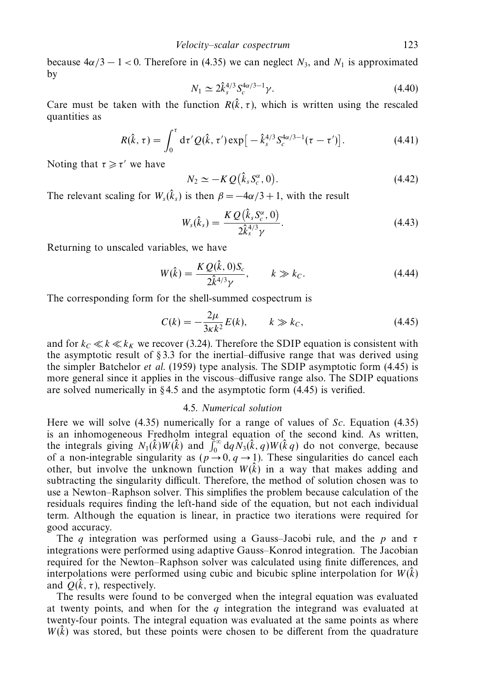because  $4\alpha/3 - 1 < 0$ . Therefore in (4.35) we can neglect  $N_3$ , and  $N_1$  is approximated by

$$
N_1 \simeq 2\hat{k}_s^{4/3} S_c^{4\alpha/3 - 1} \gamma. \tag{4.40}
$$

Care must be taken with the function  $R(\hat{k}, \tau)$ , which is written using the rescaled quantities as

$$
R(\hat{k}, \tau) = \int_0^{\tau} d\tau' Q(\hat{k}, \tau') \exp[-\hat{k}_s^{4/3} S_c^{4\alpha/3 - 1}(\tau - \tau')]. \tag{4.41}
$$

Noting that  $\tau \geq \tau'$  we have

$$
N_2 \simeq -K \mathcal{Q}(\hat{k}_s S_c^{\alpha}, 0). \tag{4.42}
$$

The relevant scaling for  $W_s(\hat{k}_s)$  is then  $\beta = -4\alpha/3 + 1$ , with the result

$$
W_s(\hat{k}_s) = \frac{KQ(\hat{k}_s S_c^{\alpha}, 0)}{2\hat{k}_s^{4/3}\gamma}.
$$
\n(4.43)

Returning to unscaled variables, we have

$$
W(\hat{k}) = \frac{K Q(\hat{k}, 0) S_c}{2\hat{k}^{4/3} \gamma}, \qquad k \gg k_C.
$$
 (4.44)

The corresponding form for the shell-summed cospectrum is

$$
C(k) = -\frac{2\mu}{3\kappa k^2} E(k), \qquad k \gg k_c,
$$
\n(4.45)

and for  $k_C \ll k \ll k_K$  we recover (3.24). Therefore the SDIP equation is consistent with the asymptotic result of  $\S 3.3$  for the inertial–diffusive range that was derived using the simpler Batchelor *et al.* (1959) type analysis. The SDIP asymptotic form  $(4.45)$  is more general since it applies in the viscous–diffusive range also. The SDIP equations are solved numerically in § 4.5 and the asymptotic form (4.45) is verified.

#### 4.5. Numerical solution

Here we will solve (4.35) numerically for a range of values of *Sc*. Equation (4.35) is an inhomogeneous Fredholm integral equation of the second kind. As written, the integrals giving  $N_1(\hat{k})W(\hat{k})$  and  $\int_0^\infty dq \, N_3(\hat{k}, q)W(\hat{k}, q)$  do not converge, because of a non-integrable singularity as  $(p \rightarrow 0, q \rightarrow 1)$ . These singularities do cancel each other, but involve the unknown function  $W(\hat{k})$  in a way that makes adding and subtracting the singularity difficult. Therefore, the method of solution chosen was to use a Newton–Raphson solver. This simplifies the problem because calculation of the residuals requires finding the left-hand side of the equation, but not each individual term. Although the equation is linear, in practice two iterations were required for good accuracy.

The *q* integration was performed using a Gauss–Jacobi rule, and the *p* and *τ* integrations were performed using adaptive Gauss–Konrod integration. The Jacobian required for the Newton–Raphson solver was calculated using finite differences, and interpolations were performed using cubic and bicubic spline interpolation for  $W(\hat{k})$ and  $Q(\hat{k}, \tau)$ , respectively.

The results were found to be converged when the integral equation was evaluated at twenty points, and when for the *q* integration the integrand was evaluated at twenty-four points. The integral equation was evaluated at the same points as where  $W(\hat{k})$  was stored, but these points were chosen to be different from the quadrature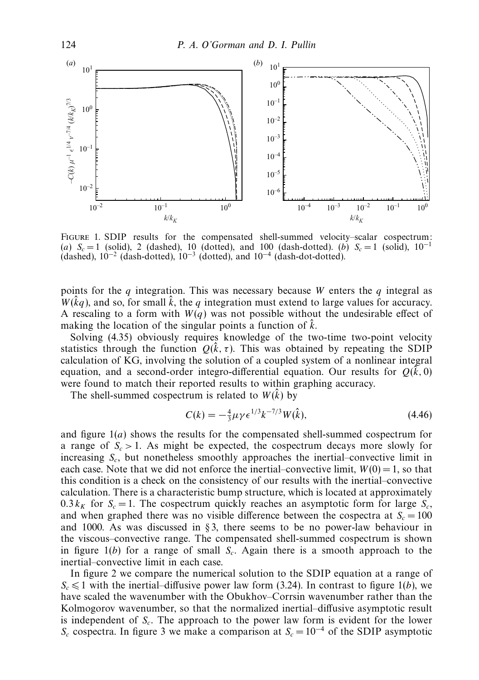

Figure 1. SDIP results for the compensated shell-summed velocity–scalar cospectrum: (*a*)  $S_c = 1$  (solid), 2 (dashed), 10 (dotted), and 100 (dash-dotted). (*b*)  $S_c = 1$  (solid), 10<sup>-1</sup> (dashed),  $10^{-2}$  (dash-dotted),  $10^{-3}$  (dotted), and  $10^{-4}$  (dash-dot-dotted).

points for the *q* integration. This was necessary because *W* enters the *q* integral as  $W(kq)$ , and so, for small  $\hat{k}$ , the *q* integration must extend to large values for accuracy. A rescaling to a form with  $W(q)$  was not possible without the undesirable effect of making the location of the singular points a function of  $\hat{k}$ .

Solving (4.35) obviously requires knowledge of the two-time two-point velocity statistics through the function  $Q(\hat{k}, \tau)$ . This was obtained by repeating the SDIP calculation of KG, involving the solution of a coupled system of a nonlinear integral equation, and a second-order integro-differential equation. Our results for  $Q(\tilde{k},0)$ were found to match their reported results to within graphing accuracy.

The shell-summed cospectrum is related to  $W(\hat{k})$  by

$$
C(k) = -\frac{4}{3}\mu\gamma\epsilon^{1/3}k^{-7/3}W(\hat{k}),\tag{4.46}
$$

and figure 1(*a*) shows the results for the compensated shell-summed cospectrum for a range of  $S_c > 1$ . As might be expected, the cospectrum decays more slowly for increasing *Sc*, but nonetheless smoothly approaches the inertial–convective limit in each case. Note that we did not enforce the inertial–convective limit,  $W(0) = 1$ , so that this condition is a check on the consistency of our results with the inertial–convective calculation. There is a characteristic bump structure, which is located at approximately  $0.3 k<sub>K</sub>$  for  $S<sub>c</sub> = 1$ . The cospectrum quickly reaches an asymptotic form for large  $S<sub>c</sub>$ , and when graphed there was no visible difference between the cospectra at  $S_c = 100$ and 1000. As was discussed in  $\S$ 3, there seems to be no power-law behaviour in the viscous–convective range. The compensated shell-summed cospectrum is shown in figure  $1(b)$  for a range of small  $S_c$ . Again there is a smooth approach to the inertial–convective limit in each case.

In figure 2 we compare the numerical solution to the SDIP equation at a range of  $S_c \leq 1$  with the inertial–diffusive power law form (3.24). In contrast to figure 1(*b*), we have scaled the wavenumber with the Obukhov–Corrsin wavenumber rather than the Kolmogorov wavenumber, so that the normalized inertial–diffusive asymptotic result is independent of  $S_c$ . The approach to the power law form is evident for the lower *S<sub>c</sub>* cospectra. In figure 3 we make a comparison at  $S_c = 10^{-4}$  of the SDIP asymptotic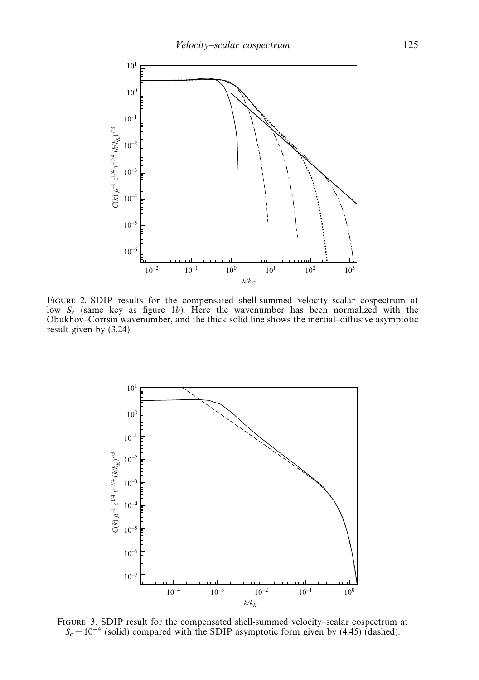

Figure 2. SDIP results for the compensated shell-summed velocity–scalar cospectrum at low *Sc* (same key as figure 1*b*). Here the wavenumber has been normalized with the Obukhov–Corrsin wavenumber, and the thick solid line shows the inertial–diffusive asymptotic result given by (3.24).



Figure 3. SDIP result for the compensated shell-summed velocity–scalar cospectrum at  $S_c = 10^{-4}$  (solid) compared with the SDIP asymptotic form given by (4.45) (dashed).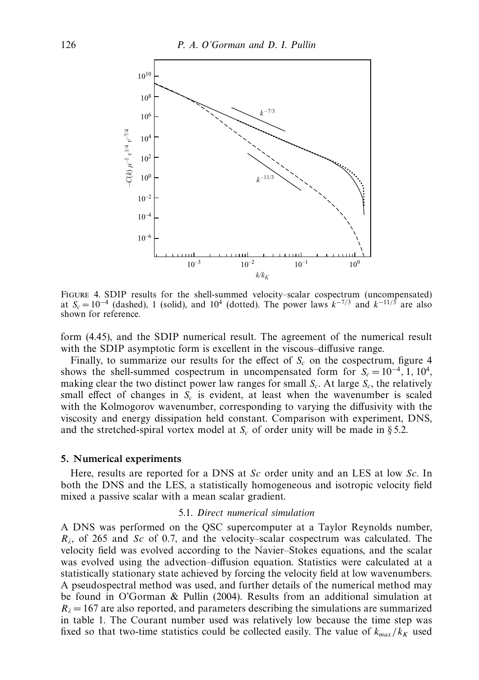

Figure 4. SDIP results for the shell-summed velocity–scalar cospectrum (uncompensated) at  $S_c = 10^{-4}$  (dashed), 1 (solid), and 10<sup>4</sup> (dotted). The power laws  $k^{-7/3}$  and  $k^{-11/3}$  are also shown for reference.

form (4.45), and the SDIP numerical result. The agreement of the numerical result with the SDIP asymptotic form is excellent in the viscous–diffusive range.

Finally, to summarize our results for the effect of  $S_c$  on the cospectrum, figure 4 shows the shell-summed cospectrum in uncompensated form for  $S_c = 10^{-4}$ , 1, 10<sup>4</sup>, making clear the two distinct power law ranges for small  $S_c$ . At large  $S_c$ , the relatively small effect of changes in  $S_c$  is evident, at least when the wavenumber is scaled with the Kolmogorov wavenumber, corresponding to varying the diffusivity with the viscosity and energy dissipation held constant. Comparison with experiment, DNS, and the stretched-spiral vortex model at  $S_c$  of order unity will be made in § 5.2.

#### *5. Numerical experiments*

Here, results are reported for a DNS at *Sc* order unity and an LES at low *Sc*. In both the DNS and the LES, a statistically homogeneous and isotropic velocity field mixed a passive scalar with a mean scalar gradient.

## 5.1. Direct numerical simulation

A DNS was performed on the QSC supercomputer at a Taylor Reynolds number, *Rλ*, of 265 and *Sc* of 0*.*7, and the velocity–scalar cospectrum was calculated. The velocity field was evolved according to the Navier–Stokes equations, and the scalar was evolved using the advection–diffusion equation. Statistics were calculated at a statistically stationary state achieved by forcing the velocity field at low wavenumbers. A pseudospectral method was used, and further details of the numerical method may be found in O'Gorman & Pullin (2004). Results from an additional simulation at  $R<sub>\lambda</sub> = 167$  are also reported, and parameters describing the simulations are summarized in table 1. The Courant number used was relatively low because the time step was fixed so that two-time statistics could be collected easily. The value of  $k_{max}/k_K$  used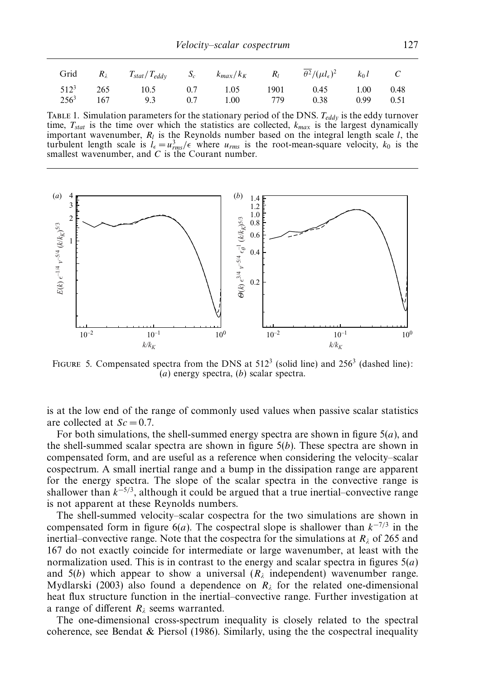|  | Grid $R_{\lambda}$ $T_{stat}/T_{eddy}$ $S_c$ $k_{max}/k_K$ $R_l$ $\overline{\theta^2}/(\mu l_{\epsilon})^2$ $k_0 l$ C |  |  |  |
|--|-----------------------------------------------------------------------------------------------------------------------|--|--|--|
|  | 512 <sup>3</sup> 265 10.5 0.7 1.05 1901 0.45 1.00 0.48                                                                |  |  |  |
|  | 256 <sup>3</sup> 167 9.3 0.7 1.00 779 0.38 0.99 0.51                                                                  |  |  |  |

TABLE 1. Simulation parameters for the stationary period of the DNS.  $T_{eddy}$  is the eddy turnover time,  $T_{stat}$  is the time over which the statistics are collected,  $k_{max}$  is the largest dynamically important wavenumber,  $R_l$  is the Reynolds number based on the integral length scale  $l$ , the turbulent length scale is  $l_e = u_{rms}^3/\epsilon$  where  $u_{rms}$  is the root-mean-square velocity,  $k_0$  is the smallest wavenumber, and *C* is the Courant number.



FIGURE 5. Compensated spectra from the DNS at  $512^3$  (solid line) and  $256^3$  (dashed line): (*a*) energy spectra, (*b*) scalar spectra.

is at the low end of the range of commonly used values when passive scalar statistics are collected at  $Sc = 0.7$ .

For both simulations, the shell-summed energy spectra are shown in figure 5(*a*), and the shell-summed scalar spectra are shown in figure 5(*b*). These spectra are shown in compensated form, and are useful as a reference when considering the velocity–scalar cospectrum. A small inertial range and a bump in the dissipation range are apparent for the energy spectra. The slope of the scalar spectra in the convective range is shallower than  $k^{-5/3}$ , although it could be argued that a true inertial–convective range is not apparent at these Reynolds numbers.

The shell-summed velocity–scalar cospectra for the two simulations are shown in compensated form in figure 6(*a*). The cospectral slope is shallower than  $k^{-7/3}$  in the inertial–convective range. Note that the cospectra for the simulations at  $R_\lambda$  of 265 and 167 do not exactly coincide for intermediate or large wavenumber, at least with the normalization used. This is in contrast to the energy and scalar spectra in figures 5(*a*) and  $5(b)$  which appear to show a universal  $(R<sub>\lambda</sub>$  independent) wavenumber range. Mydlarski (2003) also found a dependence on  $R_\lambda$  for the related one-dimensional heat flux structure function in the inertial–convective range. Further investigation at a range of different *R<sup>λ</sup>* seems warranted.

The one-dimensional cross-spectrum inequality is closely related to the spectral coherence, see Bendat  $&$  Piersol (1986). Similarly, using the the cospectral inequality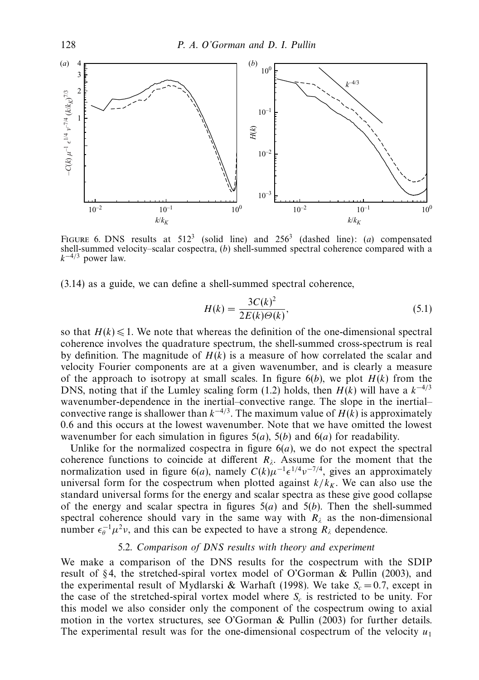

FIGURE 6. DNS results at  $512<sup>3</sup>$  (solid line) and  $256<sup>3</sup>$  (dashed line): (a) compensated shell-summed velocity–scalar cospectra, (b) shell-summed spectral coherence compared with a *k*−4*/*<sup>3</sup> power law.

(3.14) as a guide, we can define a shell-summed spectral coherence,

$$
H(k) = \frac{3C(k)^2}{2E(k)\Theta(k)},\tag{5.1}
$$

so that  $H(k) \leq 1$ . We note that whereas the definition of the one-dimensional spectral coherence involves the quadrature spectrum, the shell-summed cross-spectrum is real by definition. The magnitude of  $H(k)$  is a measure of how correlated the scalar and velocity Fourier components are at a given wavenumber, and is clearly a measure of the approach to isotropy at small scales. In figure  $6(b)$ , we plot  $H(k)$  from the DNS, noting that if the Lumley scaling form (1.2) holds, then  $H(k)$  will have a  $k^{-4/3}$ wavenumber-dependence in the inertial–convective range. The slope in the inertial– convective range is shallower than  $k^{-4/3}$ . The maximum value of  $H(k)$  is approximately 0*.*6 and this occurs at the lowest wavenumber. Note that we have omitted the lowest wavenumber for each simulation in figures 5(*a*), 5(*b*) and 6(*a*) for readability.

Unlike for the normalized cospectra in figure  $6(a)$ , we do not expect the spectral coherence functions to coincide at different  $R_\lambda$ . Assume for the moment that the normalization used in figure 6(*a*), namely  $C(k)\mu^{-1}\epsilon^{1/4}\nu^{-7/4}$ , gives an approximately universal form for the cospectrum when plotted against  $k/k_K$ . We can also use the standard universal forms for the energy and scalar spectra as these give good collapse of the energy and scalar spectra in figures  $5(a)$  and  $5(b)$ . Then the shell-summed spectral coherence should vary in the same way with  $R_\lambda$  as the non-dimensional number  $\epsilon_{\theta}^{-1} \mu^2 \nu$ , and this can be expected to have a strong  $R_{\lambda}$  dependence.

## 5.2. Comparison of DNS results with theory and experiment

We make a comparison of the DNS results for the cospectrum with the SDIP result of §4, the stretched-spiral vortex model of O'Gorman & Pullin (2003), and the experimental result of Mydlarski & Warhaft (1998). We take  $S_c = 0.7$ , except in the case of the stretched-spiral vortex model where  $S_c$  is restricted to be unity. For this model we also consider only the component of the cospectrum owing to axial motion in the vortex structures, see O'Gorman & Pullin (2003) for further details. The experimental result was for the one-dimensional cospectrum of the velocity  $u_1$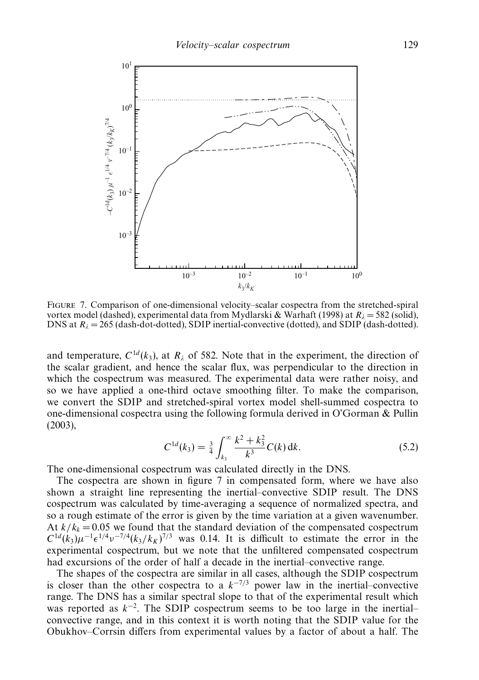

Figure 7. Comparison of one-dimensional velocity–scalar cospectra from the stretched-spiral vortex model (dashed), experimental data from Mydlarski & Warhaft (1998) at *R<sup>λ</sup>* = 582 (solid), DNS at  $R<sub>\lambda</sub> = 265$  (dash-dot-dotted), SDIP inertial-convective (dotted), and SDIP (dash-dotted).

and temperature,  $C^{1d}(k_3)$ , at  $R_\lambda$  of 582. Note that in the experiment, the direction of the scalar gradient, and hence the scalar flux, was perpendicular to the direction in which the cospectrum was measured. The experimental data were rather noisy, and so we have applied a one-third octave smoothing filter. To make the comparison, we convert the SDIP and stretched-spiral vortex model shell-summed cospectra to one-dimensional cospectra using the following formula derived in O'Gorman  $\&$  Pullin (2003),

$$
C^{1d}(k_3) = \frac{3}{4} \int_{k_3}^{\infty} \frac{k^2 + k_3^2}{k^3} C(k) \, \mathrm{d}k. \tag{5.2}
$$

The one-dimensional cospectrum was calculated directly in the DNS.

The cospectra are shown in figure 7 in compensated form, where we have also shown a straight line representing the inertial–convective SDIP result. The DNS cospectrum was calculated by time-averaging a sequence of normalized spectra, and so a rough estimate of the error is given by the time variation at a given wavenumber. At  $k/k_k = 0.05$  we found that the standard deviation of the compensated cospectrum  $C^{1d}(k_3)\mu^{-1}\epsilon^{1/4}\nu^{-7/4}(k_3/k_K)^{7/3}$  was 0.14. It is difficult to estimate the error in the experimental cospectrum, but we note that the unfiltered compensated cospectrum had excursions of the order of half a decade in the inertial–convective range.

The shapes of the cospectra are similar in all cases, although the SDIP cospectrum is closer than the other cospectra to a  $k^{-7/3}$  power law in the inertial–convective range. The DNS has a similar spectral slope to that of the experimental result which was reported as  $k^{-2}$ . The SDIP cospectrum seems to be too large in the inertial– convective range, and in this context it is worth noting that the SDIP value for the Obukhov–Corrsin differs from experimental values by a factor of about a half. The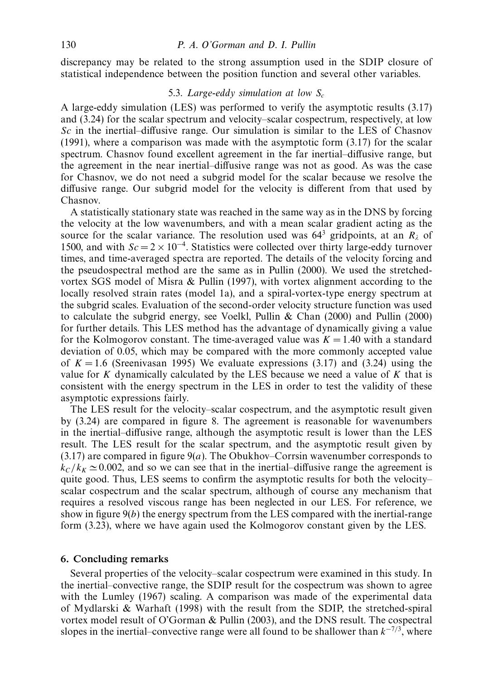discrepancy may be related to the strong assumption used in the SDIP closure of statistical independence between the position function and several other variables.

## 5.3. Large-eddy simulation at low *Sc*

A large-eddy simulation (LES) was performed to verify the asymptotic results (3.17) and (3.24) for the scalar spectrum and velocity–scalar cospectrum, respectively, at low *Sc* in the inertial–diffusive range. Our simulation is similar to the LES of Chasnov (1991), where a comparison was made with the asymptotic form (3.17) for the scalar spectrum. Chasnov found excellent agreement in the far inertial–diffusive range, but the agreement in the near inertial–diffusive range was not as good. As was the case for Chasnov, we do not need a subgrid model for the scalar because we resolve the diffusive range. Our subgrid model for the velocity is different from that used by Chasnov.

A statistically stationary state was reached in the same way as in the DNS by forcing the velocity at the low wavenumbers, and with a mean scalar gradient acting as the source for the scalar variance. The resolution used was  $64^3$  gridpoints, at an  $R_\lambda$  of 1500, and with  $Sc = 2 \times 10^{-4}$ . Statistics were collected over thirty large-eddy turnover times, and time-averaged spectra are reported. The details of the velocity forcing and the pseudospectral method are the same as in Pullin (2000). We used the stretchedvortex SGS model of Misra & Pullin (1997), with vortex alignment according to the locally resolved strain rates (model 1a), and a spiral-vortex-type energy spectrum at the subgrid scales. Evaluation of the second-order velocity structure function was used to calculate the subgrid energy, see Voelkl, Pullin & Chan (2000) and Pullin (2000) for further details. This LES method has the advantage of dynamically giving a value for the Kolmogorov constant. The time-averaged value was  $K = 1.40$  with a standard deviation of 0*.*05, which may be compared with the more commonly accepted value of  $K = 1.6$  (Sreenivasan 1995) We evaluate expressions  $(3.17)$  and  $(3.24)$  using the value for *K* dynamically calculated by the LES because we need a value of *K* that is consistent with the energy spectrum in the LES in order to test the validity of these asymptotic expressions fairly.

The LES result for the velocity–scalar cospectrum, and the asymptotic result given by (3.24) are compared in figure 8. The agreement is reasonable for wavenumbers in the inertial–diffusive range, although the asymptotic result is lower than the LES result. The LES result for the scalar spectrum, and the asymptotic result given by (3.17) are compared in figure 9(*a*). The Obukhov–Corrsin wavenumber corresponds to  $k_c/k_K \approx 0.002$ , and so we can see that in the inertial–diffusive range the agreement is quite good. Thus, LES seems to confirm the asymptotic results for both the velocity– scalar cospectrum and the scalar spectrum, although of course any mechanism that requires a resolved viscous range has been neglected in our LES. For reference, we show in figure  $9(b)$  the energy spectrum from the LES compared with the inertial-range form (3.23), where we have again used the Kolmogorov constant given by the LES.

## *6. Concluding remarks*

Several properties of the velocity–scalar cospectrum were examined in this study. In the inertial–convective range, the SDIP result for the cospectrum was shown to agree with the Lumley (1967) scaling. A comparison was made of the experimental data of Mydlarski & Warhaft (1998) with the result from the SDIP, the stretched-spiral vortex model result of O'Gorman & Pullin (2003), and the DNS result. The cospectral slopes in the inertial–convective range were all found to be shallower than  $k^{-7/3}$ , where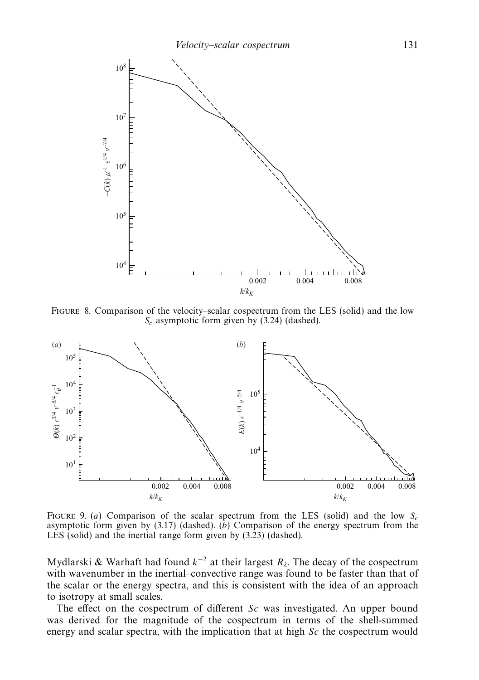

Figure 8. Comparison of the velocity–scalar cospectrum from the LES (solid) and the low *Sc* asymptotic form given by (3.24) (dashed).



FIGURE 9. (*a*) Comparison of the scalar spectrum from the LES (solid) and the low  $S_c$ asymptotic form given by (3.17) (dashed). (*b*) Comparison of the energy spectrum from the LES (solid) and the inertial range form given by  $(3.23)$  (dashed).

Mydlarski & Warhaft had found *k*−<sup>2</sup> at their largest *Rλ*. The decay of the cospectrum with wavenumber in the inertial–convective range was found to be faster than that of the scalar or the energy spectra, and this is consistent with the idea of an approach to isotropy at small scales.

The effect on the cospectrum of different *Sc* was investigated. An upper bound was derived for the magnitude of the cospectrum in terms of the shell-summed energy and scalar spectra, with the implication that at high *Sc* the cospectrum would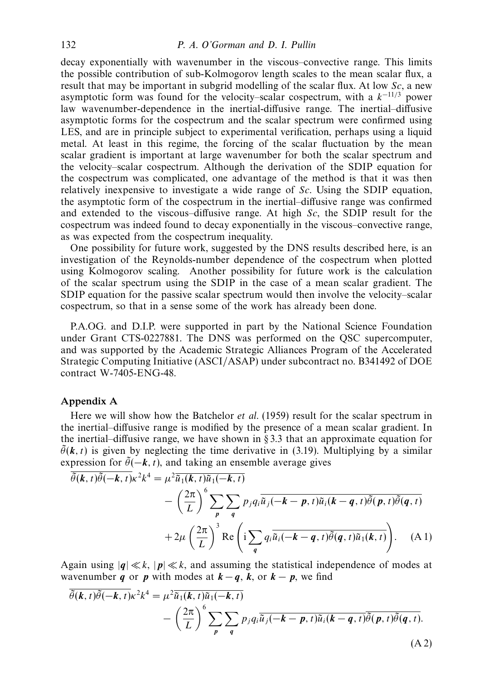decay exponentially with wavenumber in the viscous–convective range. This limits the possible contribution of sub-Kolmogorov length scales to the mean scalar flux, a result that may be important in subgrid modelling of the scalar flux. At low *Sc*, a new asymptotic form was found for the velocity–scalar cospectrum, with a *k*−11*/*<sup>3</sup> power law wavenumber-dependence in the inertial-diffusive range. The inertial–diffusive asymptotic forms for the cospectrum and the scalar spectrum were confirmed using LES, and are in principle subject to experimental verification, perhaps using a liquid metal. At least in this regime, the forcing of the scalar fluctuation by the mean scalar gradient is important at large wavenumber for both the scalar spectrum and the velocity–scalar cospectrum. Although the derivation of the SDIP equation for the cospectrum was complicated, one advantage of the method is that it was then relatively inexpensive to investigate a wide range of *Sc*. Using the SDIP equation, the asymptotic form of the cospectrum in the inertial–diffusive range was confirmed and extended to the viscous–diffusive range. At high *Sc*, the SDIP result for the cospectrum was indeed found to decay exponentially in the viscous–convective range, as was expected from the cospectrum inequality.

One possibility for future work, suggested by the DNS results described here, is an investigation of the Reynolds-number dependence of the cospectrum when plotted using Kolmogorov scaling. Another possibility for future work is the calculation of the scalar spectrum using the SDIP in the case of a mean scalar gradient. The SDIP equation for the passive scalar spectrum would then involve the velocity–scalar cospectrum, so that in a sense some of the work has already been done.

P.A.OG. and D.I.P. were supported in part by the National Science Foundation under Grant CTS-0227881. The DNS was performed on the QSC supercomputer, and was supported by the Academic Strategic Alliances Program of the Accelerated Strategic Computing Initiative (ASCI/ASAP) under subcontract no. B341492 of DOE contract W-7405-ENG-48.

#### *Appendix A*

Here we will show how the Batchelor *et al.* (1959) result for the scalar spectrum in the inertial–diffusive range is modified by the presence of a mean scalar gradient. In the inertial–diffusive range, we have shown in § 3.3 that an approximate equation for  $\tilde{\theta}(\mathbf{k}, t)$  is given by neglecting the time derivative in (3.19). Multiplying by a similar expression for  $\tilde{\theta}(-k, t)$ , and taking an ensemble average gives

$$
\overline{\tilde{\theta}}(\mathbf{k}, t)\tilde{\theta}(-\mathbf{k}, t)\kappa^{2}k^{4} = \mu^{2}\overline{\tilde{u}_{1}(\mathbf{k}, t)\tilde{u}_{1}(-\mathbf{k}, t)} \n- \left(\frac{2\pi}{L}\right)^{6} \sum_{p} \sum_{q} p_{j}q_{i}\overline{\tilde{u}_{j}(-\mathbf{k} - \mathbf{p}, t)\tilde{u}_{i}(\mathbf{k} - \mathbf{q}, t)\tilde{\theta}(\mathbf{p}, t)\tilde{\theta}(\mathbf{q}, t)} \n+ 2\mu \left(\frac{2\pi}{L}\right)^{3} \text{Re}\left(\mathrm{i} \sum_{q} q_{i}\overline{\tilde{u}_{i}(-\mathbf{k} - \mathbf{q}, t)\tilde{\theta}(\mathbf{q}, t)\tilde{u}_{1}(\mathbf{k}, t)}\right).
$$
\n(A1)

Again using  $|q| \ll k$ ,  $|p| \ll k$ , and assuming the statistical independence of modes at wavenumber *q* or *p* with modes at  $k - q$ ,  $k$ , or  $k - p$ , we find

$$
\overline{\tilde{\theta}}(\mathbf{k},t)\tilde{\theta}(-\mathbf{k},t)\kappa^{2}k^{4} = \mu^{2}\overline{\tilde{u}_{1}(\mathbf{k},t)\tilde{u}_{1}(-\mathbf{k},t)} - \left(\frac{2\pi}{L}\right)^{6} \sum_{p} \sum_{q} p_{j}q_{i}\overline{\tilde{u}_{j}(-\mathbf{k}-\mathbf{p},t)\tilde{u}_{i}(\mathbf{k}-\mathbf{q},t)}\overline{\tilde{\theta}(\mathbf{p},t)\tilde{\theta}(\mathbf{q},t)}.
$$
\n(A2)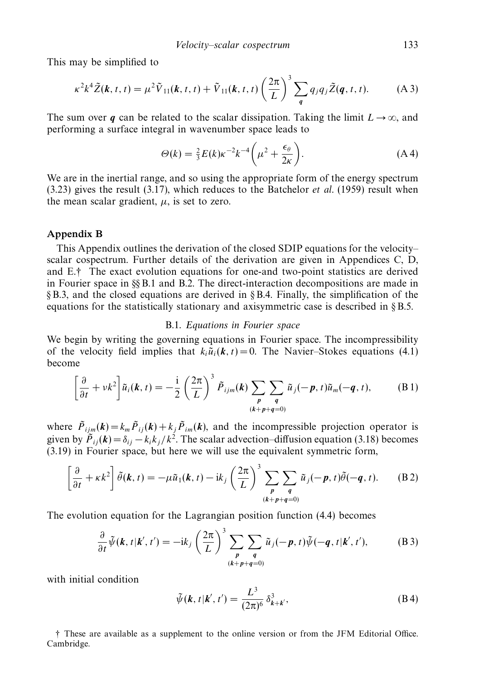This may be simplified to

$$
\kappa^2 k^4 \tilde{Z}(\mathbf{k}, t, t) = \mu^2 \tilde{V}_{11}(\mathbf{k}, t, t) + \tilde{V}_{11}(\mathbf{k}, t, t) \left(\frac{2\pi}{L}\right)^3 \sum_{q} q_j q_j \tilde{Z}(q, t, t). \tag{A 3}
$$

The sum over *q* can be related to the scalar dissipation. Taking the limit  $L \rightarrow \infty$ , and performing a surface integral in wavenumber space leads to

$$
\Theta(k) = \frac{2}{3}E(k)\kappa^{-2}k^{-4}\left(\mu^2 + \frac{\epsilon_{\theta}}{2\kappa}\right).
$$
 (A4)

We are in the inertial range, and so using the appropriate form of the energy spectrum  $(3.23)$  gives the result  $(3.17)$ , which reduces to the Batchelor *et al.* (1959) result when the mean scalar gradient,  $\mu$ , is set to zero.

#### *Appendix B*

This Appendix outlines the derivation of the closed SDIP equations for the velocity– scalar cospectrum. Further details of the derivation are given in Appendices C, D, and E.† The exact evolution equations for one-and two-point statistics are derived in Fourier space in §§ B.1 and B.2. The direct-interaction decompositions are made in § B.3, and the closed equations are derived in § B.4. Finally, the simplification of the equations for the statistically stationary and axisymmetric case is described in § B.5.

## B.1. Equations in Fourier space

We begin by writing the governing equations in Fourier space. The incompressibility of the velocity field implies that  $k_i \tilde{u}_i(\mathbf{k}, t) = 0$ . The Navier–Stokes equations (4.1) become

$$
\left[\frac{\partial}{\partial t} + \nu k^2\right] \tilde{u}_i(\boldsymbol{k}, t) = -\frac{i}{2} \left(\frac{2\pi}{L}\right)^3 \tilde{P}_{ijm}(\boldsymbol{k}) \sum_{\substack{\boldsymbol{p} \\ (\boldsymbol{k} + \boldsymbol{p} + \boldsymbol{q} = 0)}} \tilde{u}_j(-\boldsymbol{p}, t) \tilde{u}_m(-\boldsymbol{q}, t), \quad (B 1)
$$

where  $\tilde{P}_{ijm}(\mathbf{k}) = k_m \tilde{P}_{ij}(\mathbf{k}) + k_j \tilde{P}_{im}(\mathbf{k})$ , and the incompressible projection operator is given by  $\tilde{P}_{ii}(\mathbf{k}) = \delta_{ii} - k_i k_i / k^2$ . The scalar advection–diffusion equation (3.18) becomes (3.19) in Fourier space, but here we will use the equivalent symmetric form,

$$
\left[\frac{\partial}{\partial t} + \kappa k^2\right] \tilde{\theta}(\mathbf{k}, t) = -\mu \tilde{u}_1(\mathbf{k}, t) - i k_j \left(\frac{2\pi}{L}\right)^3 \sum_{\substack{\mathbf{p} \\ (\mathbf{k} + \mathbf{p} + \mathbf{q} = 0)}} \tilde{u}_j(-\mathbf{p}, t) \tilde{\theta}(-\mathbf{q}, t). \tag{B.2}
$$

The evolution equation for the Lagrangian position function (4.4) becomes

$$
\frac{\partial}{\partial t}\tilde{\psi}(\mathbf{k},t|\mathbf{k}',t') = -ik_j \left(\frac{2\pi}{L}\right)^3 \sum_{\substack{\mathbf{p} \\ (\mathbf{k}+\mathbf{p}+\mathbf{q}=0)}} \tilde{u}_j(-\mathbf{p},t)\tilde{\psi}(-\mathbf{q},t|\mathbf{k}',t'),\tag{B 3}
$$

with initial condition

$$
\tilde{\psi}(\mathbf{k}, t|\mathbf{k}', t') = \frac{L^3}{(2\pi)^6} \delta_{\mathbf{k}+\mathbf{k}'}^3,
$$
\n(B4)

† These are available as a supplement to the online version or from the JFM Editorial Office. Cambridge.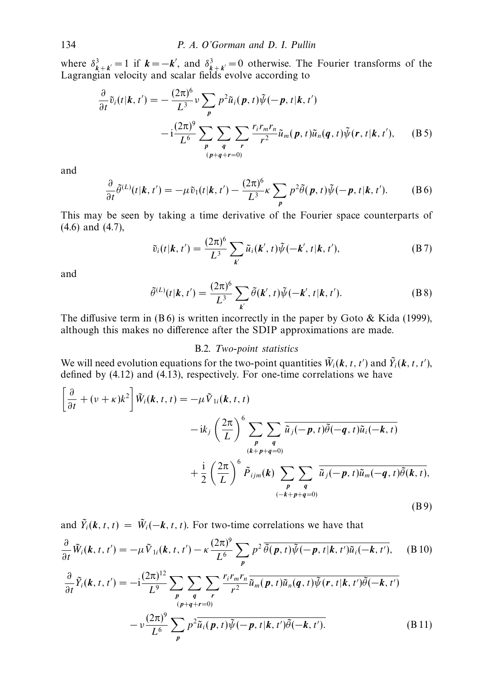where  $\delta_{k+k}^3 = 1$  if  $k = -k'$ , and  $\delta_{k+k'}^3 = 0$  otherwise. The Fourier transforms of the Lagrangian velocity and scalar fields evolve according to

$$
\frac{\partial}{\partial t}\tilde{v}_i(t|\mathbf{k},t') = -\frac{(2\pi)^6}{L^3}\nu \sum_{\mathbf{p}} p^2 \tilde{u}_i(\mathbf{p},t)\tilde{\psi}(-\mathbf{p},t|\mathbf{k},t') \n- i\frac{(2\pi)^9}{L^6} \sum_{\mathbf{p}} \sum_{\mathbf{q}} \sum_{\mathbf{r}} \frac{r_i r_m r_n}{r^2} \tilde{u}_m(\mathbf{p},t)\tilde{u}_n(\mathbf{q},t)\tilde{\psi}(\mathbf{r},t|\mathbf{k},t'), \quad (B 5)
$$

and

$$
\frac{\partial}{\partial t}\tilde{\theta}^{(L)}(t|\boldsymbol{k},t') = -\mu \tilde{v}_1(t|\boldsymbol{k},t') - \frac{(2\pi)^6}{L^3} \kappa \sum_{\boldsymbol{p}} p^2 \tilde{\theta}(\boldsymbol{p},t) \tilde{\psi}(-\boldsymbol{p},t|\boldsymbol{k},t'). \tag{B 6}
$$

This may be seen by taking a time derivative of the Fourier space counterparts of (4.6) and (4.7),

$$
\tilde{v}_i(t|\mathbf{k},t') = \frac{(2\pi)^6}{L^3} \sum_{\mathbf{k}'} \tilde{u}_i(\mathbf{k}',t) \tilde{\psi}(-\mathbf{k}',t|\mathbf{k},t'),
$$
\n(B7)

and

$$
\tilde{\theta}^{(L)}(t|\boldsymbol{k},t') = \frac{(2\pi)^6}{L^3} \sum_{\boldsymbol{k}'} \tilde{\theta}(\boldsymbol{k}',t) \tilde{\psi}(-\boldsymbol{k}',t|\boldsymbol{k},t').
$$
 (B 8)

The diffusive term in  $(B 6)$  is written incorrectly in the paper by Goto & Kida (1999), although this makes no difference after the SDIP approximations are made.

### B.2. Two-point statistics

We will need evolution equations for the two-point quantities  $\tilde{W}_i(\mathbf{k}, t, t')$  and  $\tilde{Y}_i(\mathbf{k}, t, t')$ , defined by (4.12) and (4.13), respectively. For one-time correlations we have

$$
\left[\frac{\partial}{\partial t} + (\nu + \kappa)k^2\right] \tilde{W}_i(\mathbf{k}, t, t) = -\mu \tilde{V}_{1i}(\mathbf{k}, t, t)
$$
  

$$
-ik_j \left(\frac{2\pi}{L}\right)^6 \sum_{\substack{p \ p \ q}} \sum_{\substack{q \ (k+p+q=0)}} \overline{\tilde{u}_j(-p, t)\tilde{\theta}(-q, t)\tilde{u}_i(-k, t)}
$$
  

$$
+ \frac{i}{2} \left(\frac{2\pi}{L}\right)^6 \tilde{P}_{ijm}(\mathbf{k}) \sum_{\substack{p \ q \ (k+p+q=0)}} \overline{\tilde{u}_j(-p, t)\tilde{u}_m(-q, t)\tilde{\theta}(k, t)},
$$
  

$$
\frac{(-k+p+q=0)}{(-k+p+q=0)}
$$
(B9)

and  $\tilde{Y}_i(\mathbf{k}, t, t) = \tilde{W}_i(-\mathbf{k}, t, t)$ . For two-time correlations we have that *∂*  $\frac{\partial}{\partial t} \tilde{W}_i(\mathbf{k}, t, t') = -\mu \tilde{V}_{1i}(\mathbf{k}, t, t') - \kappa \frac{(2\pi)^9}{L^6}$ *L*6  $\sum$ *p*  $p^2 \overline{\tilde{\theta}(\mathbf{p},t)} \tilde{\psi}(-\mathbf{p},t|\mathbf{k},t') \tilde{u}_i(-\mathbf{k},t')$ )*,* (B 10) *∂*  $\frac{\partial}{\partial t} \tilde{Y}_i(\mathbf{k}, t, t') = -i \frac{(2\pi)^{12}}{L^9}$ *L*9  $\sum$ *p*  $\sum$ *q*  $\sum$ *r*  $(p+q+r=0)$  $\frac{r_i r_m r_n}{r^2} \overline{\tilde{u}}_m(p,t) \tilde{u}_n(q,t) \tilde{\psi}(r,t|k,t') \tilde{\theta}(-k,t')$  $-\nu \frac{(2\pi)^9}{L^6}$ *L*6  $\sum$ *p*  $p^2 \tilde{u}_i(\boldsymbol{p}, t) \tilde{\psi}(-\boldsymbol{p}, t | \boldsymbol{k}, t') \tilde{\theta}(-\boldsymbol{k}, t')$ )*.* (B 11)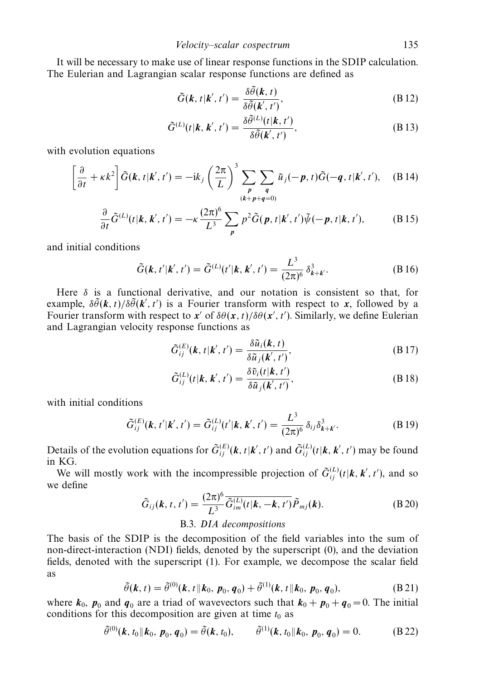It will be necessary to make use of linear response functions in the SDIP calculation. The Eulerian and Lagrangian scalar response functions are defined as

$$
\tilde{G}(\mathbf{k}, t | \mathbf{k}', t') = \frac{\delta \tilde{\theta}(\mathbf{k}, t)}{\delta \tilde{\theta}(\mathbf{k}', t')},
$$
\n(B12)

$$
\tilde{G}^{(L)}(t|\mathbf{k}, \mathbf{k}', t') = \frac{\delta \tilde{\theta}^{(L)}(t|\mathbf{k}, t')}{\delta \tilde{\theta}(\mathbf{k}', t')},
$$
\n(B13)

with evolution equations

$$
\left[\frac{\partial}{\partial t} + \kappa k^2\right] \tilde{G}(\boldsymbol{k}, t | \boldsymbol{k}', t') = -ik_j \left(\frac{2\pi}{L}\right)^3 \sum_{\substack{p \ p \ (k+p+q=0)}} \tilde{u}_j(-p, t) \tilde{G}(-q, t | \boldsymbol{k}', t'), \quad (B\,14)
$$

$$
\frac{\partial}{\partial t}\tilde{G}^{(L)}(t|\boldsymbol{k},\boldsymbol{k}',t') = -\kappa \frac{(2\pi)^6}{L^3} \sum_{\boldsymbol{p}} p^2 \tilde{G}(\boldsymbol{p},t|\boldsymbol{k}',t') \tilde{\psi}(-\boldsymbol{p},t|\boldsymbol{k},t'),\tag{B.15}
$$

and initial conditions

$$
\tilde{G}(\mathbf{k}, t'|\mathbf{k}', t') = \tilde{G}^{(L)}(t'|\mathbf{k}, \mathbf{k}', t') = \frac{L^3}{(2\pi)^6} \delta_{\mathbf{k} + \mathbf{k}'}^3.
$$
 (B.16)

Here  $\delta$  is a functional derivative, and our notation is consistent so that, for example,  $\delta \tilde{\theta}(\mathbf{k}, t) / \delta \tilde{\theta}(\mathbf{k}', t')$  is a Fourier transform with respect to *x*, followed by a Fourier transform with respect to *x'* of  $\delta\theta(x, t)/\delta\theta(x', t')$ . Similarly, we define Eulerian and Lagrangian velocity response functions as

$$
\tilde{G}_{ij}^{(E)}(\mathbf{k}, t | \mathbf{k}', t') = \frac{\delta \tilde{u}_i(\mathbf{k}, t)}{\delta \tilde{u}_j(\mathbf{k}', t')},
$$
\n(B17)

$$
\tilde{G}_{ij}^{(L)}(t|\mathbf{k}, \mathbf{k}', t') = \frac{\delta \tilde{v}_i(t|\mathbf{k}, t')}{\delta \tilde{u}_j(\mathbf{k}', t')},
$$
\n(B18)

with initial conditions

$$
\tilde{G}_{ij}^{(E)}(\mathbf{k}, t'|\mathbf{k}', t') = \tilde{G}_{ij}^{(L)}(t'|\mathbf{k}, \mathbf{k}', t') = \frac{L^3}{(2\pi)^6} \delta_{ij} \delta_{\mathbf{k} + \mathbf{k}'}^3.
$$
 (B.19)

Details of the evolution equations for  $\tilde{G}_{ij}^{(E)}(\mathbf{k}, t | \mathbf{k}', t')$  and  $\tilde{G}_{ij}^{(L)}(t | \mathbf{k}, \mathbf{k}', t')$  may be found in KG.

We will mostly work with the incompressible projection of  $\tilde{G}_{ij}^{(L)}(t|\mathbf{k}, \mathbf{k}', t')$ , and so we define

$$
\tilde{G}_{ij}(\mathbf{k}, t, t') = \frac{(2\pi)^6}{L^3} \overline{\tilde{G}}_{im}^{(L)}(t|\mathbf{k}, -\mathbf{k}, t') \tilde{P}_{mj}(\mathbf{k}).
$$
\n(B.20)

#### B.3. DIA decompositions

The basis of the SDIP is the decomposition of the field variables into the sum of non-direct-interaction (NDI) fields, denoted by the superscript (0), and the deviation fields, denoted with the superscript (1). For example, we decompose the scalar field as

$$
\tilde{\theta}(\mathbf{k}, t) = \tilde{\theta}^{(0)}(\mathbf{k}, t \| \mathbf{k}_0, \, \mathbf{p}_0, \, \mathbf{q}_0) + \tilde{\theta}^{(1)}(\mathbf{k}, t \| \mathbf{k}_0, \, \mathbf{p}_0, \, \mathbf{q}_0), \tag{B.21}
$$

where  $k_0$ ,  $p_0$  and  $q_0$  are a triad of wavevectors such that  $k_0 + p_0 + q_0 = 0$ . The initial conditions for this decomposition are given at time  $t_0$  as

$$
\tilde{\theta}^{(0)}(\mathbf{k}, t_0 \|\mathbf{k}_0, \, \mathbf{p}_0, \, \mathbf{q}_0) = \tilde{\theta}(\mathbf{k}, t_0), \qquad \tilde{\theta}^{(1)}(\mathbf{k}, t_0 \|\mathbf{k}_0, \, \mathbf{p}_0, \, \mathbf{q}_0) = 0. \tag{B.22}
$$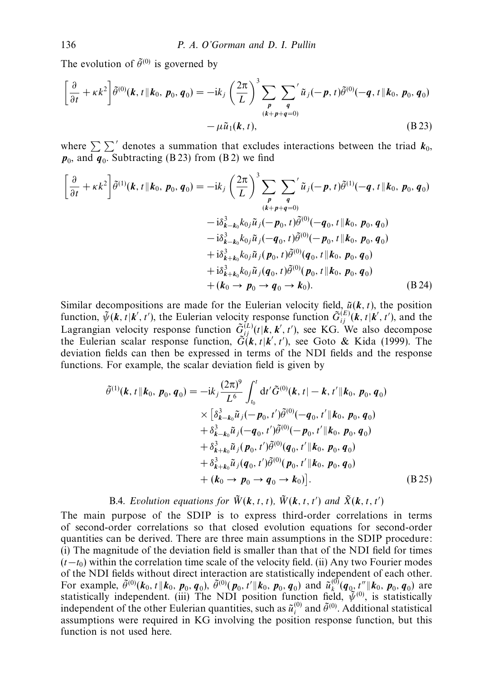The evolution of  $\tilde{\theta}^{(0)}$  is governed by

$$
\left[\frac{\partial}{\partial t} + \kappa k^2\right] \tilde{\theta}^{(0)}(\mathbf{k}, t | \mathbf{k}_0, \mathbf{p}_0, \mathbf{q}_0) = -ik_j \left(\frac{2\pi}{L}\right)^3 \sum_{\substack{p \\ (\mathbf{k} + p + \mathbf{q} = 0)}} \sum_{\substack{q \\ (\mathbf{k} + p + \mathbf{q} = 0)}}' \tilde{u}_j(-\mathbf{p}, t) \tilde{\theta}^{(0)}(-\mathbf{q}, t | \mathbf{k}_0, \mathbf{p}_0, \mathbf{q}_0) - \mu \tilde{u}_1(\mathbf{k}, t),
$$
\n(B.23)

where  $\sum \sum'$  denotes a summation that excludes interactions between the triad  $k_0$ ,  $p_0$ , and  $q_0$ . Subtracting (B 23) from (B 2) we find

$$
\left[\frac{\partial}{\partial t} + \kappa k^2\right] \tilde{\theta}^{(1)}(k, t \| k_0, p_0, q_0) = -ik_j \left(\frac{2\pi}{L}\right)^3 \sum_{p} \sum_{q} \tilde{u}_j(-p, t) \tilde{\theta}^{(1)}(-q, t \| k_0, p_0, q_0) \n- i \delta_{k-k_0}^3 k_{0j} \tilde{u}_j(-p_0, t) \tilde{\theta}^{(0)}(-q_0, t \| k_0, p_0, q_0) \n- i \delta_{k-k_0}^3 k_{0j} \tilde{u}_j(-q_0, t) \tilde{\theta}^{(0)}(-p_0, t \| k_0, p_0, q_0) \n+ i \delta_{k+k_0}^3 k_{0j} \tilde{u}_j(p_0, t) \tilde{\theta}^{(0)}(q_0, t \| k_0, p_0, q_0) \n+ i \delta_{k+k_0}^3 k_{0j} \tilde{u}_j(q_0, t) \tilde{\theta}^{(0)}(p_0, t \| k_0, p_0, q_0) \n+ (k_0 \rightarrow p_0 \rightarrow q_0 \rightarrow k_0).
$$
\n(B 24)

Similar decompositions are made for the Eulerian velocity field,  $\tilde{u}(k, t)$ , the position function,  $\tilde{\psi}(\mathbf{k}, t | \mathbf{k}', t')$ , the Eulerian velocity response function  $\tilde{G}_{ij}^{(E)}(\mathbf{k}, t | \mathbf{k}', t')$ , and the Lagrangian velocity response function  $\tilde{G}^{(L)}_{ij}(t|\mathbf{k}, \mathbf{k}', t')$ , see KG. We also decompose the Eulerian scalar response function,  $\tilde{G}(\mathbf{k}, t | \mathbf{k}', t')$ , see Goto & Kida (1999). The deviation fields can then be expressed in terms of the NDI fields and the response functions. For example, the scalar deviation field is given by

$$
\tilde{\theta}^{(1)}(\mathbf{k}, t \| \mathbf{k}_0, \mathbf{p}_0, \mathbf{q}_0) = -ik_j \frac{(2\pi)^9}{L^6} \int_{t_0}^t dt' \tilde{G}^{(0)}(\mathbf{k}, t| - \mathbf{k}, t' \| \mathbf{k}_0, \mathbf{p}_0, \mathbf{q}_0) \times \left[ \delta_{\mathbf{k} - \mathbf{k}_0}^3 \tilde{u}_j(-\mathbf{p}_0, t') \tilde{\theta}^{(0)}(-\mathbf{q}_0, t' \| \mathbf{k}_0, \mathbf{p}_0, \mathbf{q}_0) \right. \left. + \delta_{\mathbf{k} - \mathbf{k}_0}^3 \tilde{u}_j(-\mathbf{q}_0, t') \tilde{\theta}^{(0)}(-\mathbf{p}_0, t' \| \mathbf{k}_0, \mathbf{p}_0, \mathbf{q}_0) \right. \left. + \delta_{\mathbf{k} + \mathbf{k}_0}^3 \tilde{u}_j(\mathbf{p}_0, t') \tilde{\theta}^{(0)}(\mathbf{q}_0, t' \| \mathbf{k}_0, \mathbf{p}_0, \mathbf{q}_0) \right. \left. + \delta_{\mathbf{k} + \mathbf{k}_0}^3 \tilde{u}_j(\mathbf{q}_0, t') \tilde{\theta}^{(0)}(\mathbf{p}_0, t' \| \mathbf{k}_0, \mathbf{p}_0, \mathbf{q}_0) \right. \left. + (\mathbf{k}_0 \rightarrow \mathbf{p}_0 \rightarrow \mathbf{q}_0 \rightarrow \mathbf{k}_0) \right].
$$
\n(B.25)

## B.4. Evolution equations for  $\widetilde{W}(\mathbf{k}, t, t)$ ,  $\widetilde{W}(\mathbf{k}, t, t')$  and  $\widetilde{X}(\mathbf{k}, t, t')$

The main purpose of the SDIP is to express third-order correlations in terms of second-order correlations so that closed evolution equations for second-order quantities can be derived. There are three main assumptions in the SDIP procedure: (i) The magnitude of the deviation field is smaller than that of the NDI field for times (*t*−*t*0) within the correlation time scale of the velocity field. (ii) Any two Fourier modes of the NDI fields without direct interaction are statistically independent of each other. For example,  $\tilde{\theta}^{(0)}(k_0, t | k_0, p_0, q_0)$ ,  $\tilde{\theta}^{(0)}(p_0, t' | k_0, p_0, q_0)$  and  $\tilde{u}_k^{(0)}(q_0, t'' | k_0, p_0, q_0)$  are statistically independent. (iii) The NDI position function field,  $\tilde{\psi}^{(0)}$ , is statistically independent of the other Eulerian quantities, such as  $\tilde{u}_i^{(0)}$  and  $\tilde{\theta}^{(0)}$ . Additional statistical assumptions were required in KG involving the position response function, but this function is not used here.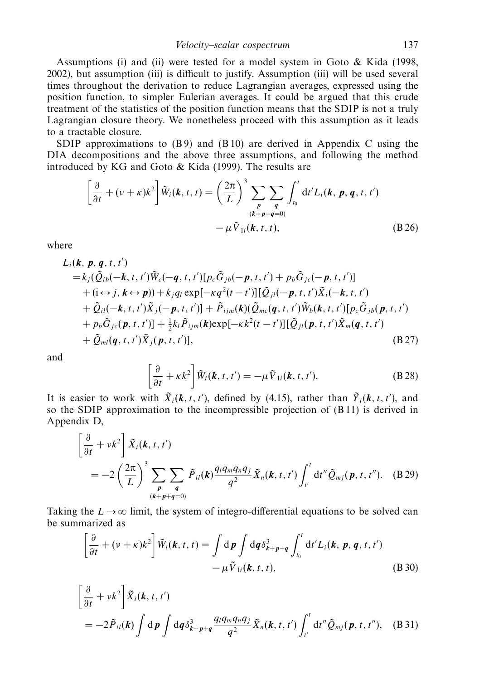Assumptions (i) and (ii) were tested for a model system in Goto & Kida (1998, 2002), but assumption (iii) is difficult to justify. Assumption (iii) will be used several times throughout the derivation to reduce Lagrangian averages, expressed using the position function, to simpler Eulerian averages. It could be argued that this crude treatment of the statistics of the position function means that the SDIP is not a truly Lagrangian closure theory. We nonetheless proceed with this assumption as it leads to a tractable closure.

SDIP approximations to  $(B9)$  and  $(B10)$  are derived in Appendix C using the DIA decompositions and the above three assumptions, and following the method introduced by KG and Goto & Kida (1999). The results are

$$
\left[\frac{\partial}{\partial t} + (\nu + \kappa)k^2\right]\tilde{W}_i(\boldsymbol{k}, t, t) = \left(\frac{2\pi}{L}\right)^3 \sum_{\substack{\boldsymbol{p} \\ (\boldsymbol{k} + \boldsymbol{p} + \boldsymbol{q} = 0)}} \int_{t_0}^t dt' L_i(\boldsymbol{k}, \boldsymbol{p}, \boldsymbol{q}, t, t')
$$
  

$$
- \mu \tilde{V}_{1i}(\boldsymbol{k}, t, t), \qquad (B 26)
$$

where

$$
L_{i}(\mathbf{k}, \mathbf{p}, \mathbf{q}, t, t')
$$
\n
$$
= k_{j}(\tilde{Q}_{ib}(-\mathbf{k}, t, t')\tilde{W}_{c}(-\mathbf{q}, t, t')[p_{c}\tilde{G}_{jb}(-\mathbf{p}, t, t') + p_{b}\tilde{G}_{jc}(-\mathbf{p}, t, t')]+ (\mathbf{i} \leftrightarrow j, \mathbf{k} \leftrightarrow \mathbf{p})) + k_{j}q_{l} \exp[-\kappa q^{2}(t - t')][\tilde{Q}_{jl}(-\mathbf{p}, t, t')\tilde{X}_{i}(-\mathbf{k}, t, t')+ \tilde{Q}_{il}(-\mathbf{k}, t, t')\tilde{X}_{j}(-\mathbf{p}, t, t')] + \tilde{P}_{ijm}(\mathbf{k})(\tilde{Q}_{mc}(\mathbf{q}, t, t')\tilde{W}_{b}(\mathbf{k}, t, t')[p_{c}\tilde{G}_{jb}(\mathbf{p}, t, t')+ p_{b}\tilde{G}_{jc}(\mathbf{p}, t, t')] + \frac{1}{2}k_{l}\tilde{P}_{ijm}(\mathbf{k})\exp[-\kappa k^{2}(t - t')][\tilde{Q}_{jl}(\mathbf{p}, t, t')\tilde{X}_{m}(\mathbf{q}, t, t')+ \tilde{Q}_{ml}(\mathbf{q}, t, t')\tilde{X}_{j}(\mathbf{p}, t, t')], \tag{B 27}
$$

and

$$
\left[\frac{\partial}{\partial t} + \kappa k^2\right] \widetilde{W}_i(\boldsymbol{k}, t, t') = -\mu \widetilde{V}_{1i}(\boldsymbol{k}, t, t').
$$
 (B 28)

It is easier to work with  $\tilde{X}_i(\mathbf{k}, t, t')$ , defined by (4.15), rather than  $\tilde{Y}_i(\mathbf{k}, t, t')$ , and so the SDIP approximation to the incompressible projection of (B 11) is derived in Appendix D,

$$
\left[\frac{\partial}{\partial t} + v k^2\right] \tilde{X}_i(\mathbf{k}, t, t')
$$
  
= 
$$
-2\left(\frac{2\pi}{L}\right)^3 \sum_{\substack{\mathbf{p} \\ (k+p+q=0)}} \sum_{q} \tilde{P}_{il}(\mathbf{k}) \frac{q_l q_m q_n q_j}{q^2} \tilde{X}_n(\mathbf{k}, t, t') \int_{t'}^{t} dt'' \tilde{Q}_{mj}(\mathbf{p}, t, t'').
$$
 (B.29)

Taking the  $L \rightarrow \infty$  limit, the system of integro-differential equations to be solved can be summarized as

$$
\left[\frac{\partial}{\partial t} + (\nu + \kappa)k^2\right]\tilde{W}_i(\boldsymbol{k}, t, t) = \int d\boldsymbol{p} \int d\boldsymbol{q} \delta_{\boldsymbol{k}+\boldsymbol{p}+\boldsymbol{q}}^3 \int_{t_0}^t dt' L_i(\boldsymbol{k}, \boldsymbol{p}, \boldsymbol{q}, t, t') - \mu \tilde{V}_{1i}(\boldsymbol{k}, t, t),
$$
\n(B30)

$$
\begin{aligned}\n&\left[\frac{\partial}{\partial t} + v k^2\right] \tilde{X}_i(\mathbf{k}, t, t') \\
&= -2 \tilde{P}_{il}(\mathbf{k}) \int d\mathbf{p} \int d\mathbf{q} \delta_{\mathbf{k} + \mathbf{p} + \mathbf{q}}^3 \frac{q_l q_m q_n q_j}{q^2} \tilde{X}_n(\mathbf{k}, t, t') \int_{t'}^t dt'' \tilde{Q}_{mj}(\mathbf{p}, t, t''), \quad (B 31)\n\end{aligned}
$$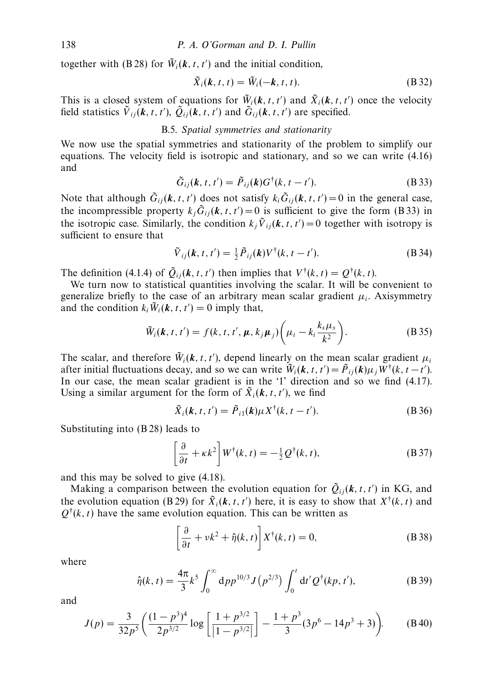together with (B28) for  $\tilde{W}_i(\mathbf{k}, t, t')$  and the initial condition,

$$
\tilde{X}_i(\mathbf{k}, t, t) = \tilde{W}_i(-\mathbf{k}, t, t). \tag{B32}
$$

This is a closed system of equations for  $\tilde{W}_i(\mathbf{k}, t, t')$  and  $\tilde{X}_i(\mathbf{k}, t, t')$  once the velocity field statistics  $\tilde{V}_{ij}(\mathbf{k}, t, t')$ ,  $\tilde{Q}_{ij}(\mathbf{k}, t, t')$  and  $\tilde{G}_{ij}(\mathbf{k}, t, t')$  are specified.

## B.5. Spatial symmetries and stationarity

We now use the spatial symmetries and stationarity of the problem to simplify our equations. The velocity field is isotropic and stationary, and so we can write (4.16) and

$$
\tilde{G}_{ij}(\mathbf{k}, t, t') = \tilde{P}_{ij}(\mathbf{k}) G^{\dagger}(k, t - t'). \tag{B 33}
$$

Note that although  $\tilde{G}_{ij}(\mathbf{k}, t, t')$  does not satisfy  $k_i \tilde{G}_{ij}(\mathbf{k}, t, t') = 0$  in the general case, the incompressible property  $k_j \tilde{G}_{ij}(\mathbf{k}, t, t') = 0$  is sufficient to give the form (B 33) in the isotropic case. Similarly, the condition  $k_j \tilde{V}_{ij}(\mathbf{k}, t, t') = 0$  together with isotropy is sufficient to ensure that

$$
\tilde{V}_{ij}(\mathbf{k}, t, t') = \frac{1}{2}\tilde{P}_{ij}(\mathbf{k})V^{\dagger}(k, t - t').
$$
\n(B34)

The definition (4.1.4) of  $\tilde{Q}_{ij}(\mathbf{k}, t, t')$  then implies that  $V^{\dagger}(k, t) = Q^{\dagger}(k, t)$ .

We turn now to statistical quantities involving the scalar. It will be convenient to generalize briefly to the case of an arbitrary mean scalar gradient  $\mu_i$ . Axisymmetry and the condition  $k_i \tilde{W}_i(\mathbf{k}, t, t') = 0$  imply that,

$$
\widetilde{W}_i(\boldsymbol{k},t,t') = f(k,t,t',\boldsymbol{\mu},k_j\boldsymbol{\mu}_j) \bigg(\mu_i - k_i \frac{k_s \mu_s}{k^2}\bigg). \tag{B.35}
$$

The scalar, and therefore  $\tilde{W}_i(\mathbf{k}, t, t')$ , depend linearly on the mean scalar gradient  $\mu_i$ after initial fluctuations decay, and so we can write  $\tilde{W}_i(\mathbf{k}, t, t') = \tilde{P}_{ij}(\mathbf{k})\mu_j W^{\dagger}(k, t - t')$ . In our case, the mean scalar gradient is in the '1' direction and so we find (4.17). Using a similar argument for the form of  $\tilde{X}_i(\mathbf{k}, t, t')$ , we find

$$
\tilde{X}_i(\mathbf{k}, t, t') = \tilde{P}_{i1}(\mathbf{k}) \mu X^{\dagger}(\mathbf{k}, t - t'). \tag{B 36}
$$

Substituting into (B 28) leads to

$$
\left[\frac{\partial}{\partial t} + \kappa k^2\right] W^{\dagger}(k, t) = -\frac{1}{2} Q^{\dagger}(k, t),
$$
 (B 37)

and this may be solved to give (4.18).

Making a comparison between the evolution equation for  $\tilde{Q}_{ij}$  ( $k, t, t'$ ) in KG, and the evolution equation (B 29) for  $\tilde{X}_i(\mathbf{k}, t, t')$  here, it is easy to show that  $X^{\dagger}(k, t)$  and  $Q^{\dagger}(k, t)$  have the same evolution equation. This can be written as

$$
\left[\frac{\partial}{\partial t} + v k^2 + \hat{\eta}(k, t)\right] X^{\dagger}(k, t) = 0, \tag{B.38}
$$

where

$$
\hat{\eta}(k,t) = \frac{4\pi}{3}k^5 \int_0^\infty dp p^{10/3} J(p^{2/3}) \int_0^t dt' Q^{\dagger}(kp,t'),
$$
 (B 39)

and

$$
J(p) = \frac{3}{32p^5} \left( \frac{(1-p^3)^4}{2p^{3/2}} \log \left[ \frac{1+p^{3/2}}{|1-p^{3/2}|} \right] - \frac{1+p^3}{3} (3p^6 - 14p^3 + 3) \right).
$$
 (B.40)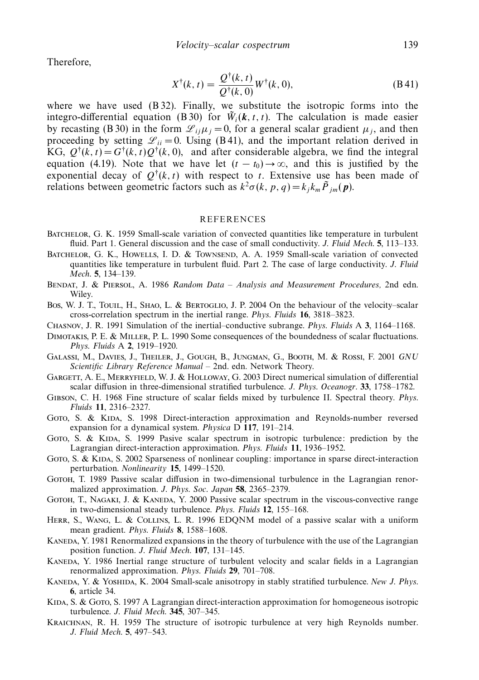Therefore,

$$
X^{\dagger}(k,t) = \frac{Q^{\dagger}(k,t)}{Q^{\dagger}(k,0)} W^{\dagger}(k,0),
$$
 (B41)

where we have used  $(B32)$ . Finally, we substitute the isotropic forms into the integro-differential equation (B 30) for  $\tilde{W}_i(\mathbf{k},t,t)$ . The calculation is made easier by recasting (B 30) in the form  $\mathcal{L}_{ij}\mu_j = 0$ , for a general scalar gradient  $\mu_j$ , and then proceeding by setting  $\mathcal{L}_{ii} = 0$ . Using (B 41), and the important relation derived in KG,  $Q^{\dagger}(k, t) = G^{\dagger}(k, t)Q^{\dagger}(k, 0)$ , and after considerable algebra, we find the integral equation (4.19). Note that we have let  $(t - t_0) \rightarrow \infty$ , and this is justified by the exponential decay of  $O^{\dagger}(k, t)$  with respect to *t*. Extensive use has been made of relations between geometric factors such as  $k^2\sigma(k, p, q) = k_j k_m \tilde{P}_{im}(\boldsymbol{p})$ .

## **REFERENCES**

- Batchelor, G. K. 1959 Small-scale variation of convected quantities like temperature in turbulent fluid. Part 1. General discussion and the case of small conductivity. J. Fluid Mech. **5**, 113–133.
- BATCHELOR, G. K., HOWELLS, I. D. & TOWNSEND, A. A. 1959 Small-scale variation of convected quantities like temperature in turbulent fluid. Part 2. The case of large conductivity. J. Fluid Mech. **5**, 134–139.
- Bendat, J. & Piersol, A. 1986 Random Data Analysis and Measurement Procedures, 2nd edn. Wiley.
- Bos, W. J. T., Touil, H., ShAo, L. & BERTOGLIO, J. P. 2004 On the behaviour of the velocity–scalar cross-correlation spectrum in the inertial range. Phys. Fluids **16**, 3818–3823.
- Chasnov, J. R. 1991 Simulation of the inertial–conductive subrange. Phys. Fluids A **3**, 1164–1168.
- Dimotakis, P. E. & Miller, P. L. 1990 Some consequences of the boundedness of scalar fluctuations. Phys. Fluids A **2**, 1919–1920.
- Galassi, M., Davies, J., Theiler, J., Gough, B., Jungman, G., Booth, M. & Rossi, F. 2001 GNU Scientific Library Reference Manual – 2nd. edn. Network Theory.
- GARGETT, A. E., MERRYFIELD, W. J. & HOLLOWAY, G. 2003 Direct numerical simulation of differential scalar diffusion in three-dimensional stratified turbulence. J. Phys. Oceanogr. **33**, 1758–1782.
- Gibson, C. H. 1968 Fine structure of scalar fields mixed by turbulence II. Spectral theory. Phys. Fluids **11**, 2316–2327.
- Goto, S. & Kida, S. 1998 Direct-interaction approximation and Reynolds-number reversed expansion for a dynamical system. Physica D **117**, 191–214.
- Goto, S. & KIDA, S. 1999 Pasive scalar spectrum in isotropic turbulence: prediction by the Lagrangian direct-interaction approximation. Phys. Fluids **11**, 1936–1952.
- Goto, S. & Kida, S. 2002 Sparseness of nonlinear coupling: importance in sparse direct-interaction perturbation. Nonlinearity **15**, 1499–1520.
- Gotoh, T. 1989 Passive scalar diffusion in two-dimensional turbulence in the Lagrangian renormalized approximation. J. Phys. Soc. Japan **58**, 2365–2379.
- GOTOH, T., NAGAKI, J. & KANEDA, Y. 2000 Passive scalar spectrum in the viscous-convective range in two-dimensional steady turbulence. Phys. Fluids **12**, 155–168.
- Herr, S., Wang, L. & Collins, L. R. 1996 EDQNM model of a passive scalar with a uniform mean gradient. Phys. Fluids **8**, 1588–1608.
- KANEDA, Y. 1981 Renormalized expansions in the theory of turbulence with the use of the Lagrangian position function. J. Fluid Mech. **107**, 131–145.
- KANEDA, Y. 1986 Inertial range structure of turbulent velocity and scalar fields in a Lagrangian renormalized approximation. Phys. Fluids **29**, 701–708.
- KANEDA, Y. & YOSHIDA, K. 2004 Small-scale anisotropy in stably stratified turbulence. New J. Phys. **6**, article 34.
- KIDA, S. & GOTO, S. 1997 A Lagrangian direct-interaction approximation for homogeneous isotropic turbulence. J. Fluid Mech. **345**, 307–345.
- Kraichnan, R. H. 1959 The structure of isotropic turbulence at very high Reynolds number. J. Fluid Mech. **5**, 497–543.